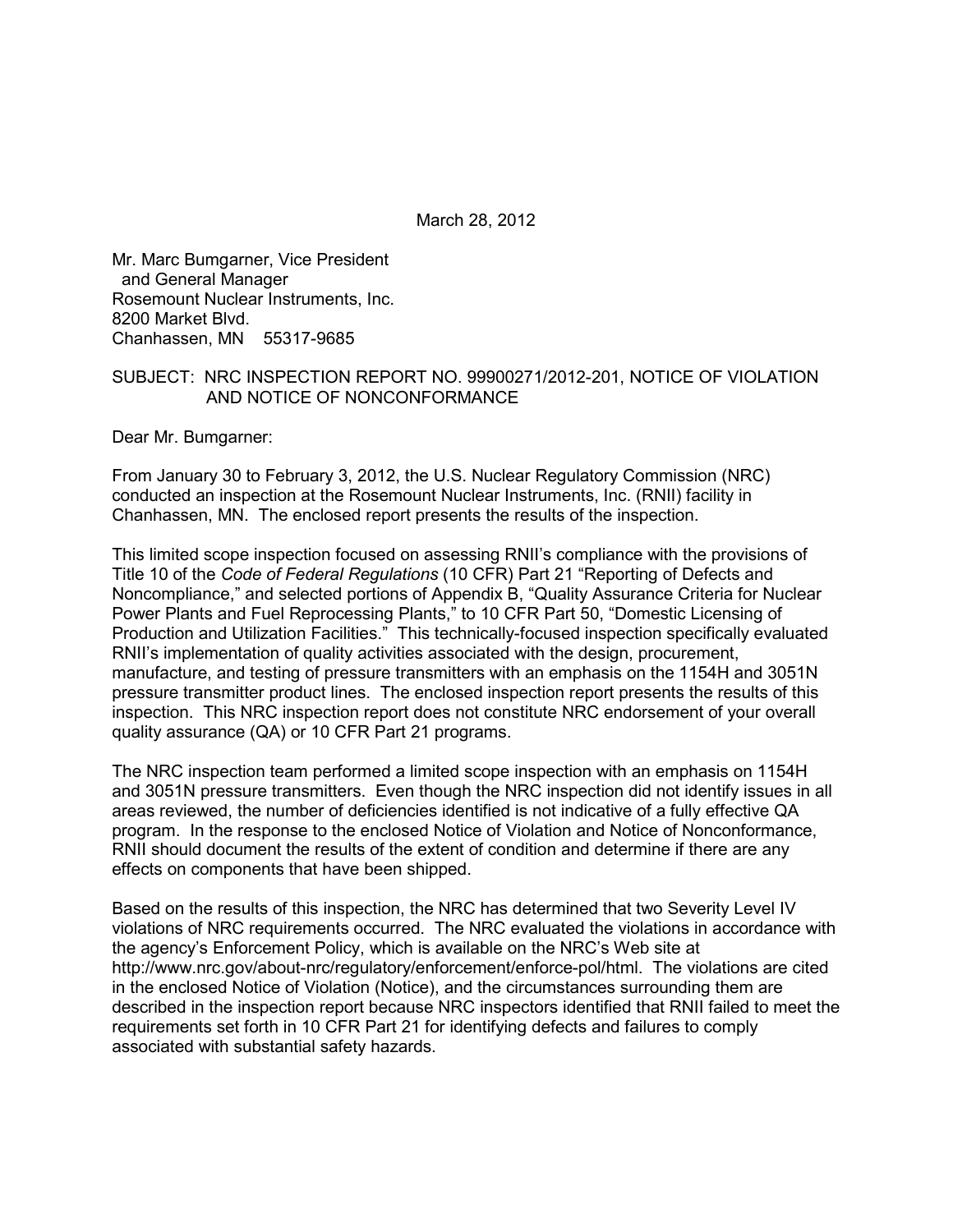March 28, 2012

Mr. Marc Bumgarner, Vice President and General Manager Rosemount Nuclear Instruments, Inc. 8200 Market Blvd. Chanhassen, MN 55317-9685

#### SUBJECT: NRC INSPECTION REPORT NO. 99900271/2012-201, NOTICE OF VIOLATION AND NOTICE OF NONCONFORMANCE

Dear Mr. Bumgarner:

From January 30 to February 3, 2012, the U.S. Nuclear Regulatory Commission (NRC) conducted an inspection at the Rosemount Nuclear Instruments, Inc. (RNII) facility in Chanhassen, MN. The enclosed report presents the results of the inspection.

This limited scope inspection focused on assessing RNII's compliance with the provisions of Title 10 of the *Code of Federal Regulations* (10 CFR) Part 21 "Reporting of Defects and Noncompliance," and selected portions of Appendix B, "Quality Assurance Criteria for Nuclear Power Plants and Fuel Reprocessing Plants," to 10 CFR Part 50, "Domestic Licensing of Production and Utilization Facilities." This technically-focused inspection specifically evaluated RNII's implementation of quality activities associated with the design, procurement, manufacture, and testing of pressure transmitters with an emphasis on the 1154H and 3051N pressure transmitter product lines. The enclosed inspection report presents the results of this inspection. This NRC inspection report does not constitute NRC endorsement of your overall quality assurance (QA) or 10 CFR Part 21 programs.

The NRC inspection team performed a limited scope inspection with an emphasis on 1154H and 3051N pressure transmitters. Even though the NRC inspection did not identify issues in all areas reviewed, the number of deficiencies identified is not indicative of a fully effective QA program. In the response to the enclosed Notice of Violation and Notice of Nonconformance, RNII should document the results of the extent of condition and determine if there are any effects on components that have been shipped.

Based on the results of this inspection, the NRC has determined that two Severity Level IV violations of NRC requirements occurred. The NRC evaluated the violations in accordance with the agency's Enforcement Policy, which is available on the NRC's Web site at http://www.nrc.gov/about-nrc/regulatory/enforcement/enforce-pol/html. The violations are cited in the enclosed Notice of Violation (Notice), and the circumstances surrounding them are described in the inspection report because NRC inspectors identified that RNII failed to meet the requirements set forth in 10 CFR Part 21 for identifying defects and failures to comply associated with substantial safety hazards.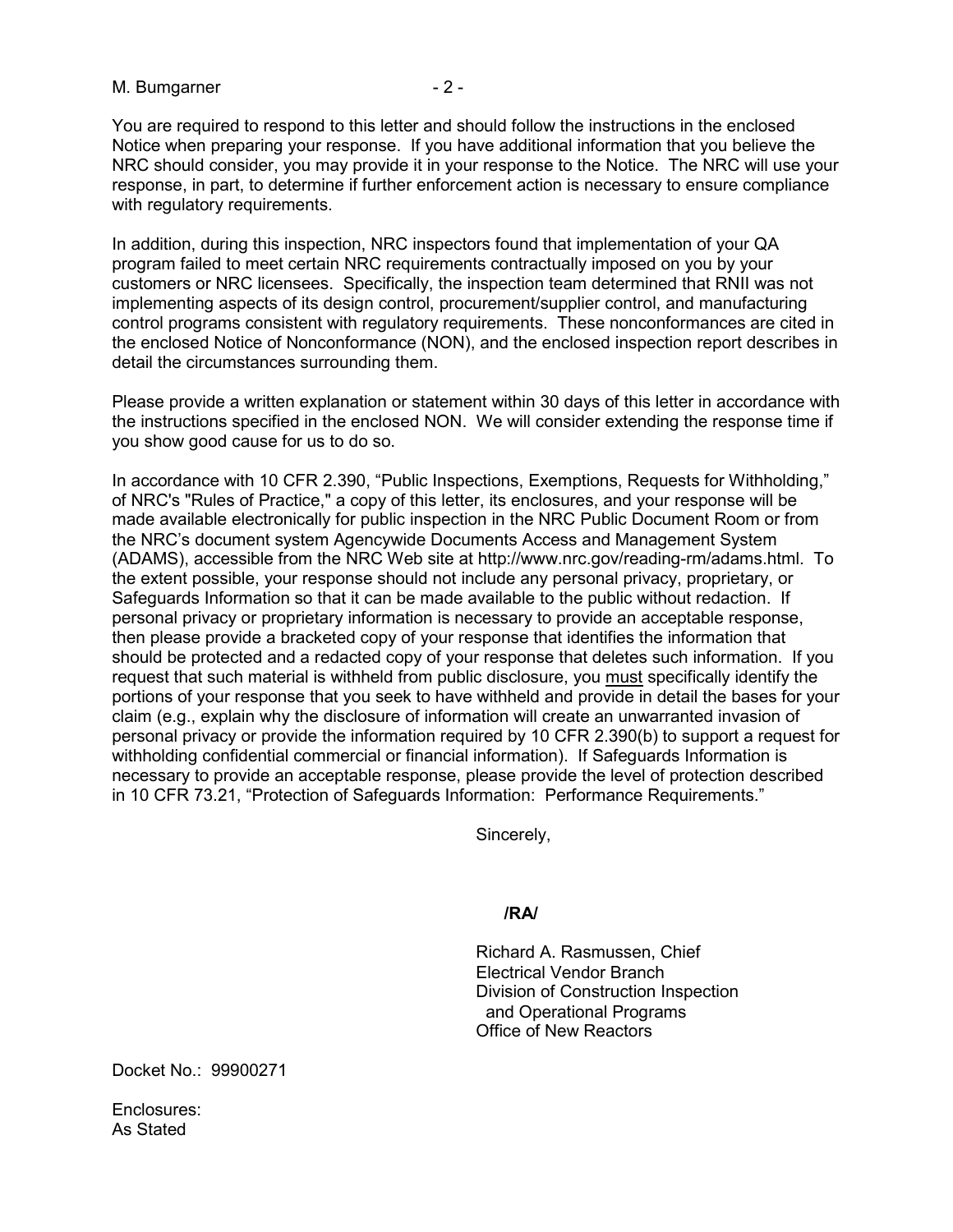#### M. Bumgarner - 2 -

You are required to respond to this letter and should follow the instructions in the enclosed Notice when preparing your response. If you have additional information that you believe the NRC should consider, you may provide it in your response to the Notice. The NRC will use your response, in part, to determine if further enforcement action is necessary to ensure compliance with regulatory requirements.

In addition, during this inspection, NRC inspectors found that implementation of your QA program failed to meet certain NRC requirements contractually imposed on you by your customers or NRC licensees. Specifically, the inspection team determined that RNII was not implementing aspects of its design control, procurement/supplier control, and manufacturing control programs consistent with regulatory requirements. These nonconformances are cited in the enclosed Notice of Nonconformance (NON), and the enclosed inspection report describes in detail the circumstances surrounding them.

Please provide a written explanation or statement within 30 days of this letter in accordance with the instructions specified in the enclosed NON. We will consider extending the response time if you show good cause for us to do so.

In accordance with 10 CFR 2.390, "Public Inspections, Exemptions, Requests for Withholding," of NRC's "Rules of Practice," a copy of this letter, its enclosures, and your response will be made available electronically for public inspection in the NRC Public Document Room or from the NRC's document system Agencywide Documents Access and Management System (ADAMS), accessible from the NRC Web site at http://www.nrc.gov/reading-rm/adams.html. To the extent possible, your response should not include any personal privacy, proprietary, or Safeguards Information so that it can be made available to the public without redaction. If personal privacy or proprietary information is necessary to provide an acceptable response, then please provide a bracketed copy of your response that identifies the information that should be protected and a redacted copy of your response that deletes such information. If you request that such material is withheld from public disclosure, you must specifically identify the portions of your response that you seek to have withheld and provide in detail the bases for your claim (e.g., explain why the disclosure of information will create an unwarranted invasion of personal privacy or provide the information required by 10 CFR 2.390(b) to support a request for withholding confidential commercial or financial information). If Safeguards Information is necessary to provide an acceptable response, please provide the level of protection described in 10 CFR 73.21, "Protection of Safeguards Information: Performance Requirements."

Sincerely,

#### **/RA/**

Richard A. Rasmussen, Chief Electrical Vendor Branch Division of Construction Inspection and Operational Programs Office of New Reactors

Docket No.: 99900271

Enclosures: As Stated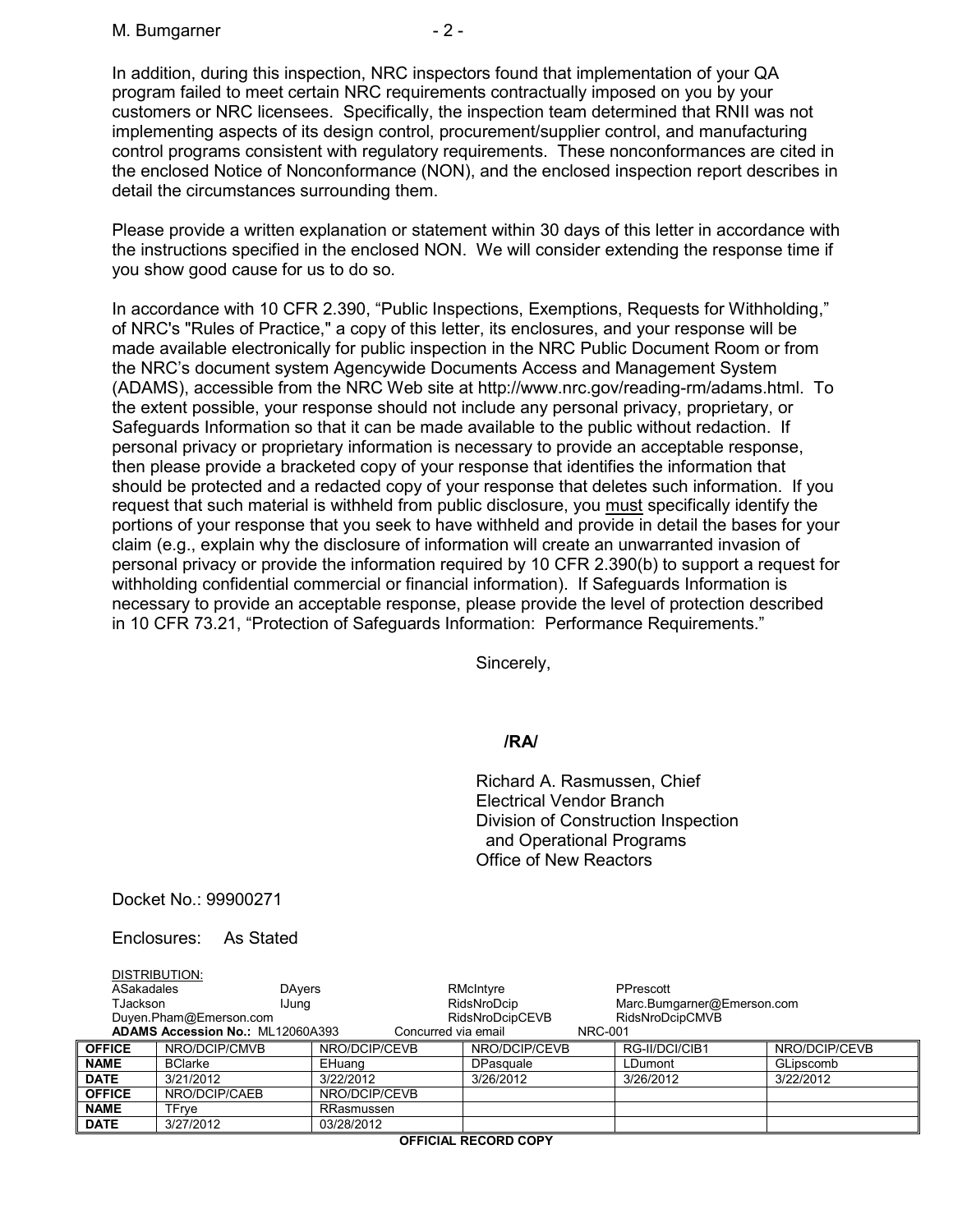In addition, during this inspection, NRC inspectors found that implementation of your QA program failed to meet certain NRC requirements contractually imposed on you by your customers or NRC licensees. Specifically, the inspection team determined that RNII was not implementing aspects of its design control, procurement/supplier control, and manufacturing control programs consistent with regulatory requirements. These nonconformances are cited in the enclosed Notice of Nonconformance (NON), and the enclosed inspection report describes in detail the circumstances surrounding them.

Please provide a written explanation or statement within 30 days of this letter in accordance with the instructions specified in the enclosed NON. We will consider extending the response time if you show good cause for us to do so.

In accordance with 10 CFR 2.390, "Public Inspections, Exemptions, Requests for Withholding," of NRC's "Rules of Practice," a copy of this letter, its enclosures, and your response will be made available electronically for public inspection in the NRC Public Document Room or from the NRC's document system Agencywide Documents Access and Management System (ADAMS), accessible from the NRC Web site at http://www.nrc.gov/reading-rm/adams.html. To the extent possible, your response should not include any personal privacy, proprietary, or Safeguards Information so that it can be made available to the public without redaction. If personal privacy or proprietary information is necessary to provide an acceptable response, then please provide a bracketed copy of your response that identifies the information that should be protected and a redacted copy of your response that deletes such information. If you request that such material is withheld from public disclosure, you must specifically identify the portions of your response that you seek to have withheld and provide in detail the bases for your claim (e.g., explain why the disclosure of information will create an unwarranted invasion of personal privacy or provide the information required by 10 CFR 2.390(b) to support a request for withholding confidential commercial or financial information). If Safeguards Information is necessary to provide an acceptable response, please provide the level of protection described in 10 CFR 73.21, "Protection of Safeguards Information: Performance Requirements."

Sincerely,

# **/RA/**

Richard A. Rasmussen, Chief Electrical Vendor Branch Division of Construction Inspection and Operational Programs Office of New Reactors

Docket No.: 99900271

Enclosures: As Stated

| ASakadales<br><b>TJackson</b>                                                                                                             | DISTRIBUTION:<br><b>DAvers</b><br>IJung |               | RMcIntyre<br>RidsNroDcip | PPrescott<br>Marc.Bumgarner@Emerson.com |               |
|-------------------------------------------------------------------------------------------------------------------------------------------|-----------------------------------------|---------------|--------------------------|-----------------------------------------|---------------|
| RidsNroDcipCEVB<br>RidsNroDcipCMVB<br>Duyen.Pham@Emerson.com<br>ADAMS Accession No.: ML12060A393<br>Concurred via email<br><b>NRC-001</b> |                                         |               |                          |                                         |               |
| <b>OFFICE</b>                                                                                                                             | NRO/DCIP/CMVB                           | NRO/DCIP/CEVB | NRO/DCIP/CEVB            | RG-II/DCI/CIB1                          | NRO/DCIP/CEVB |
| <b>NAME</b>                                                                                                                               | <b>BClarke</b>                          | EHuang        | DPasquale                | LDumont                                 | GLipscomb     |
| <b>DATE</b>                                                                                                                               | 3/21/2012                               | 3/22/2012     | 3/26/2012                | 3/26/2012                               | 3/22/2012     |
| <b>OFFICE</b>                                                                                                                             | NRO/DCIP/CAEB                           | NRO/DCIP/CEVB |                          |                                         |               |
| <b>NAME</b>                                                                                                                               | TFrve                                   | RRasmussen    |                          |                                         |               |
| <b>DATE</b>                                                                                                                               | 3/27/2012                               | 03/28/2012    |                          |                                         |               |

**OFFICIAL RECORD COPY**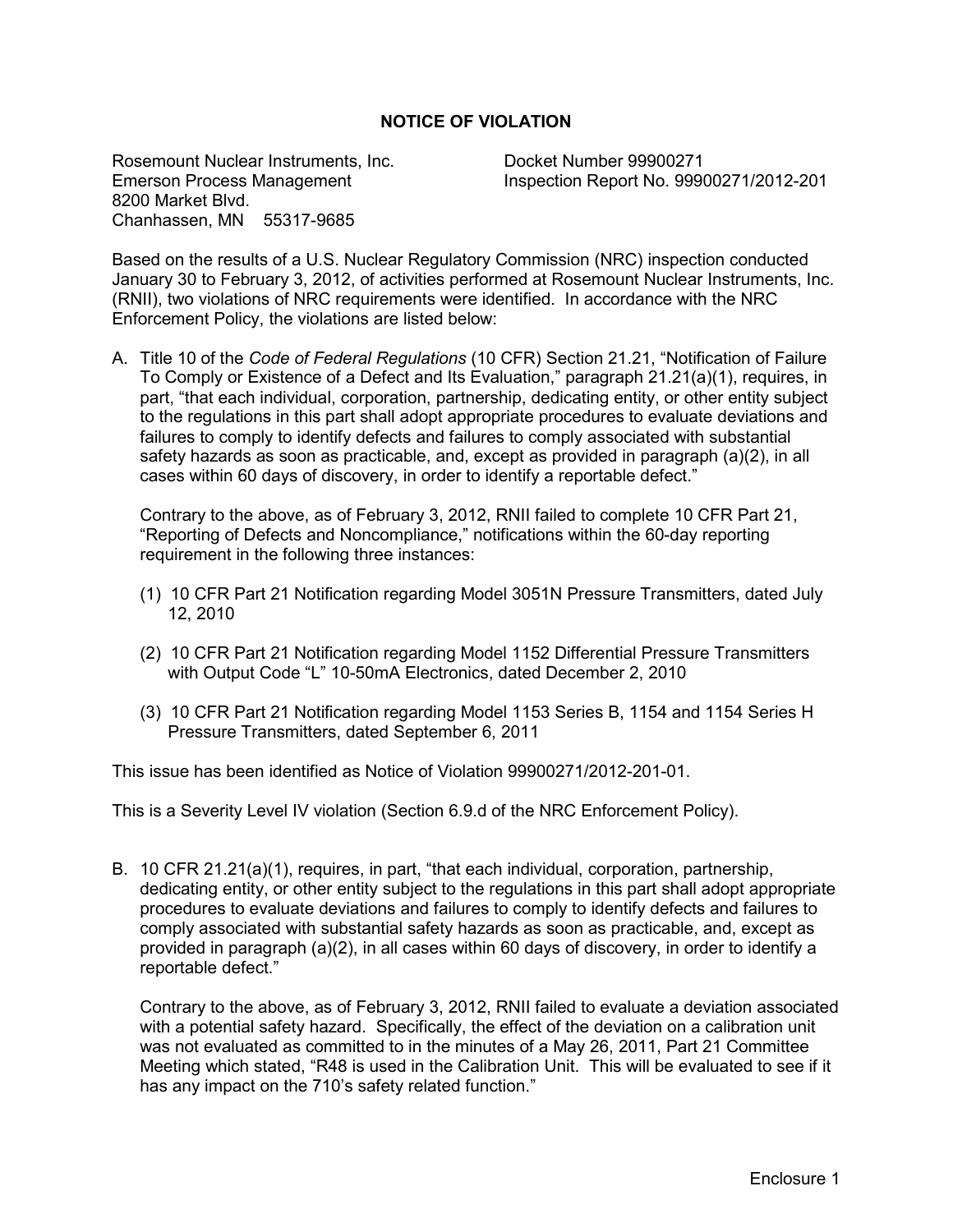## **NOTICE OF VIOLATION**

Rosemount Nuclear Instruments, Inc.<br>
Emerson Process Management<br>
Inspection Report No. 9990 8200 Market Blvd. Chanhassen, MN 55317-9685

Inspection Report No. 99900271/2012-201

Based on the results of a U.S. Nuclear Regulatory Commission (NRC) inspection conducted January 30 to February 3, 2012, of activities performed at Rosemount Nuclear Instruments, Inc. (RNII), two violations of NRC requirements were identified. In accordance with the NRC Enforcement Policy, the violations are listed below:

A. Title 10 of the *Code of Federal Regulations* (10 CFR) Section 21.21, "Notification of Failure To Comply or Existence of a Defect and Its Evaluation," paragraph 21.21(a)(1), requires, in part, "that each individual, corporation, partnership, dedicating entity, or other entity subject to the regulations in this part shall adopt appropriate procedures to evaluate deviations and failures to comply to identify defects and failures to comply associated with substantial safety hazards as soon as practicable, and, except as provided in paragraph (a)(2), in all cases within 60 days of discovery, in order to identify a reportable defect."

Contrary to the above, as of February 3, 2012, RNII failed to complete 10 CFR Part 21, "Reporting of Defects and Noncompliance," notifications within the 60-day reporting requirement in the following three instances:

- (1) 10 CFR Part 21 Notification regarding Model 3051N Pressure Transmitters, dated July 12, 2010
- (2) 10 CFR Part 21 Notification regarding Model 1152 Differential Pressure Transmitters with Output Code "L" 10-50mA Electronics, dated December 2, 2010
- (3) 10 CFR Part 21 Notification regarding Model 1153 Series B, 1154 and 1154 Series H Pressure Transmitters, dated September 6, 2011

This issue has been identified as Notice of Violation 99900271/2012-201-01.

This is a Severity Level IV violation (Section 6.9.d of the NRC Enforcement Policy).

B. 10 CFR 21.21(a)(1), requires, in part, "that each individual, corporation, partnership, dedicating entity, or other entity subject to the regulations in this part shall adopt appropriate procedures to evaluate deviations and failures to comply to identify defects and failures to comply associated with substantial safety hazards as soon as practicable, and, except as provided in paragraph (a)(2), in all cases within 60 days of discovery, in order to identify a reportable defect."

Contrary to the above, as of February 3, 2012, RNII failed to evaluate a deviation associated with a potential safety hazard. Specifically, the effect of the deviation on a calibration unit was not evaluated as committed to in the minutes of a May 26, 2011, Part 21 Committee Meeting which stated, "R48 is used in the Calibration Unit. This will be evaluated to see if it has any impact on the 710's safety related function."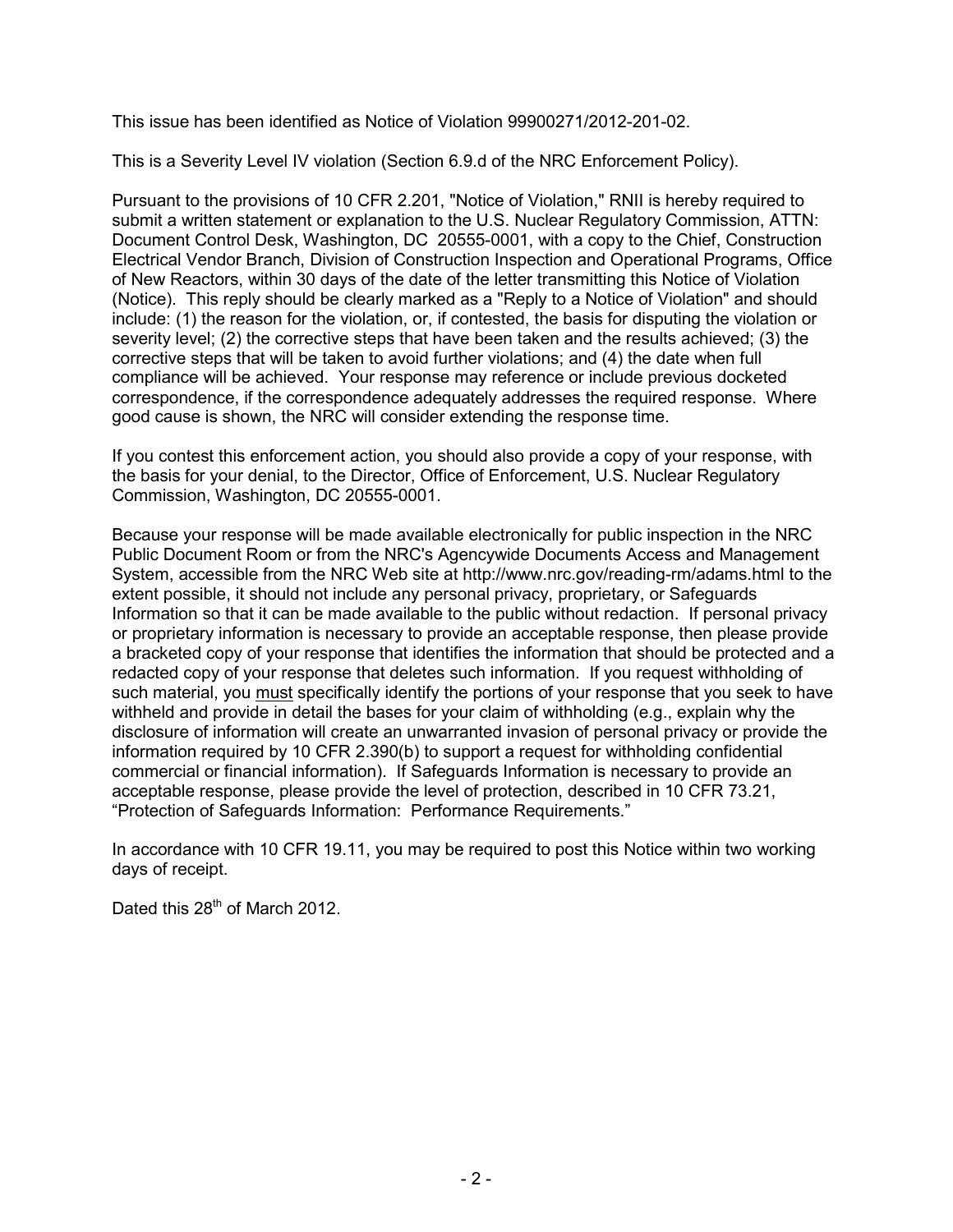This issue has been identified as Notice of Violation 99900271/2012-201-02.

This is a Severity Level IV violation (Section 6.9.d of the NRC Enforcement Policy).

Pursuant to the provisions of 10 CFR 2.201, "Notice of Violation," RNII is hereby required to submit a written statement or explanation to the U.S. Nuclear Regulatory Commission, ATTN: Document Control Desk, Washington, DC 20555-0001, with a copy to the Chief, Construction Electrical Vendor Branch, Division of Construction Inspection and Operational Programs, Office of New Reactors, within 30 days of the date of the letter transmitting this Notice of Violation (Notice). This reply should be clearly marked as a "Reply to a Notice of Violation" and should include: (1) the reason for the violation, or, if contested, the basis for disputing the violation or severity level; (2) the corrective steps that have been taken and the results achieved; (3) the corrective steps that will be taken to avoid further violations; and (4) the date when full compliance will be achieved. Your response may reference or include previous docketed correspondence, if the correspondence adequately addresses the required response. Where good cause is shown, the NRC will consider extending the response time.

If you contest this enforcement action, you should also provide a copy of your response, with the basis for your denial, to the Director, Office of Enforcement, U.S. Nuclear Regulatory Commission, Washington, DC 20555-0001.

Because your response will be made available electronically for public inspection in the NRC Public Document Room or from the NRC's Agencywide Documents Access and Management System, accessible from the NRC Web site at http://www.nrc.gov/reading-rm/adams.html to the extent possible, it should not include any personal privacy, proprietary, or Safeguards Information so that it can be made available to the public without redaction. If personal privacy or proprietary information is necessary to provide an acceptable response, then please provide a bracketed copy of your response that identifies the information that should be protected and a redacted copy of your response that deletes such information. If you request withholding of such material, you must specifically identify the portions of your response that you seek to have withheld and provide in detail the bases for your claim of withholding (e.g., explain why the disclosure of information will create an unwarranted invasion of personal privacy or provide the information required by 10 CFR 2.390(b) to support a request for withholding confidential commercial or financial information). If Safeguards Information is necessary to provide an acceptable response, please provide the level of protection, described in 10 CFR 73.21, "Protection of Safeguards Information: Performance Requirements."

In accordance with 10 CFR 19.11, you may be required to post this Notice within two working days of receipt.

Dated this 28<sup>th</sup> of March 2012.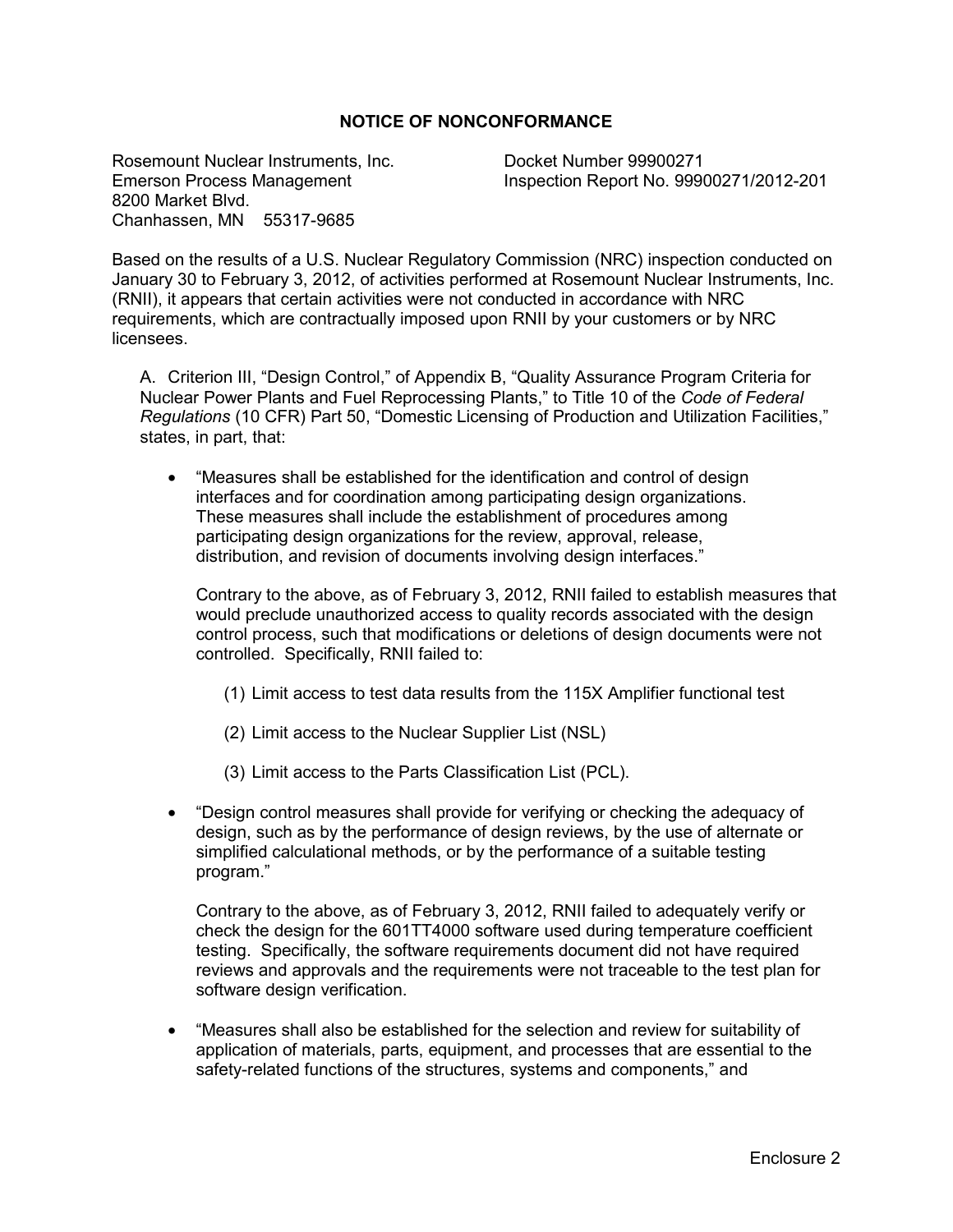## **NOTICE OF NONCONFORMANCE**

Rosemount Nuclear Instruments, Inc.<br>
Emerson Process Management<br>
Inspection Report No. 9990 8200 Market Blvd. Chanhassen, MN 55317-9685

Inspection Report No. 99900271/2012-201

Based on the results of a U.S. Nuclear Regulatory Commission (NRC) inspection conducted on January 30 to February 3, 2012, of activities performed at Rosemount Nuclear Instruments, Inc. (RNII), it appears that certain activities were not conducted in accordance with NRC requirements, which are contractually imposed upon RNII by your customers or by NRC licensees.

A. Criterion III, "Design Control," of Appendix B, "Quality Assurance Program Criteria for Nuclear Power Plants and Fuel Reprocessing Plants," to Title 10 of the *Code of Federal Regulations* (10 CFR) Part 50, "Domestic Licensing of Production and Utilization Facilities," states, in part, that:

• "Measures shall be established for the identification and control of design interfaces and for coordination among participating design organizations. These measures shall include the establishment of procedures among participating design organizations for the review, approval, release, distribution, and revision of documents involving design interfaces."

Contrary to the above, as of February 3, 2012, RNII failed to establish measures that would preclude unauthorized access to quality records associated with the design control process, such that modifications or deletions of design documents were not controlled. Specifically, RNII failed to:

- (1) Limit access to test data results from the 115X Amplifier functional test
- (2) Limit access to the Nuclear Supplier List (NSL)
- (3) Limit access to the Parts Classification List (PCL).
- "Design control measures shall provide for verifying or checking the adequacy of design, such as by the performance of design reviews, by the use of alternate or simplified calculational methods, or by the performance of a suitable testing program."

Contrary to the above, as of February 3, 2012, RNII failed to adequately verify or check the design for the 601TT4000 software used during temperature coefficient testing. Specifically, the software requirements document did not have required reviews and approvals and the requirements were not traceable to the test plan for software design verification.

• "Measures shall also be established for the selection and review for suitability of application of materials, parts, equipment, and processes that are essential to the safety-related functions of the structures, systems and components," and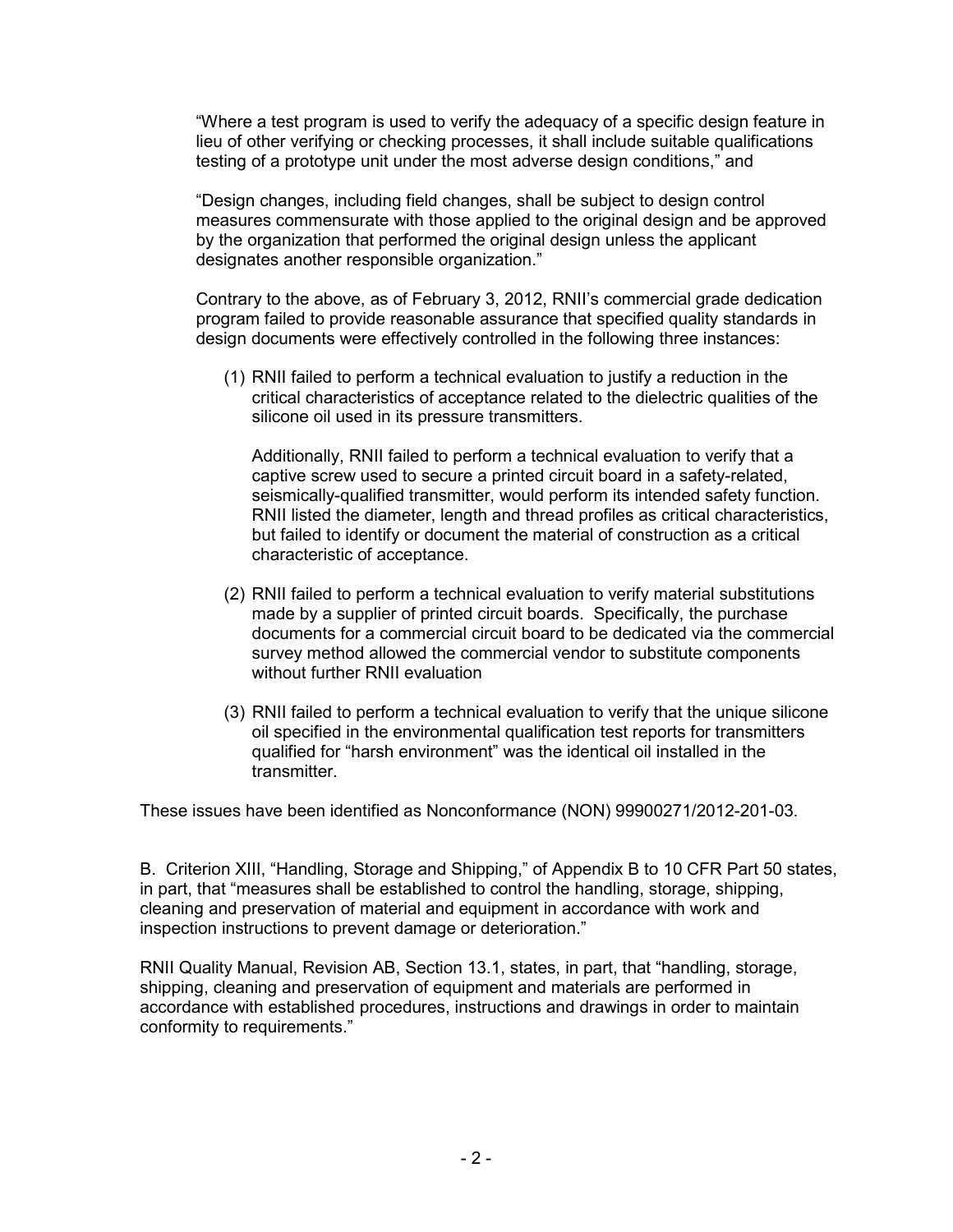"Where a test program is used to verify the adequacy of a specific design feature in lieu of other verifying or checking processes, it shall include suitable qualifications testing of a prototype unit under the most adverse design conditions," and

"Design changes, including field changes, shall be subject to design control measures commensurate with those applied to the original design and be approved by the organization that performed the original design unless the applicant designates another responsible organization."

Contrary to the above, as of February 3, 2012, RNII's commercial grade dedication program failed to provide reasonable assurance that specified quality standards in design documents were effectively controlled in the following three instances:

(1) RNII failed to perform a technical evaluation to justify a reduction in the critical characteristics of acceptance related to the dielectric qualities of the silicone oil used in its pressure transmitters.

Additionally, RNII failed to perform a technical evaluation to verify that a captive screw used to secure a printed circuit board in a safety-related, seismically-qualified transmitter, would perform its intended safety function. RNII listed the diameter, length and thread profiles as critical characteristics, but failed to identify or document the material of construction as a critical characteristic of acceptance.

- (2) RNII failed to perform a technical evaluation to verify material substitutions made by a supplier of printed circuit boards. Specifically, the purchase documents for a commercial circuit board to be dedicated via the commercial survey method allowed the commercial vendor to substitute components without further RNII evaluation
- (3) RNII failed to perform a technical evaluation to verify that the unique silicone oil specified in the environmental qualification test reports for transmitters qualified for "harsh environment" was the identical oil installed in the transmitter.

These issues have been identified as Nonconformance (NON) 99900271/2012-201-03.

B. Criterion XIII, "Handling, Storage and Shipping," of Appendix B to 10 CFR Part 50 states, in part, that "measures shall be established to control the handling, storage, shipping, cleaning and preservation of material and equipment in accordance with work and inspection instructions to prevent damage or deterioration."

RNII Quality Manual, Revision AB, Section 13.1, states, in part, that "handling, storage, shipping, cleaning and preservation of equipment and materials are performed in accordance with established procedures, instructions and drawings in order to maintain conformity to requirements."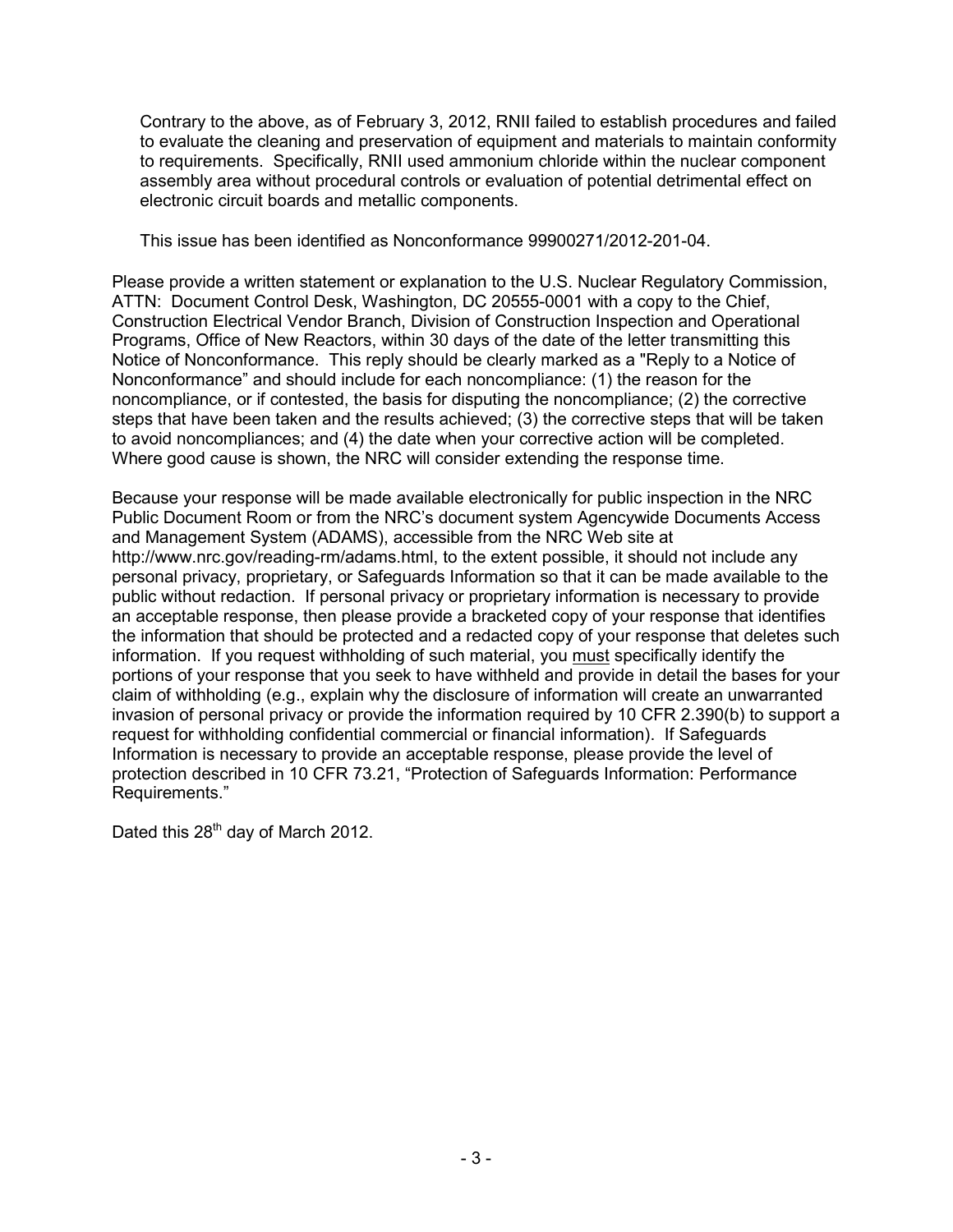Contrary to the above, as of February 3, 2012, RNII failed to establish procedures and failed to evaluate the cleaning and preservation of equipment and materials to maintain conformity to requirements. Specifically, RNII used ammonium chloride within the nuclear component assembly area without procedural controls or evaluation of potential detrimental effect on electronic circuit boards and metallic components.

This issue has been identified as Nonconformance 99900271/2012-201-04.

Please provide a written statement or explanation to the U.S. Nuclear Regulatory Commission, ATTN: Document Control Desk, Washington, DC 20555-0001 with a copy to the Chief, Construction Electrical Vendor Branch, Division of Construction Inspection and Operational Programs, Office of New Reactors, within 30 days of the date of the letter transmitting this Notice of Nonconformance. This reply should be clearly marked as a "Reply to a Notice of Nonconformance" and should include for each noncompliance: (1) the reason for the noncompliance, or if contested, the basis for disputing the noncompliance; (2) the corrective steps that have been taken and the results achieved; (3) the corrective steps that will be taken to avoid noncompliances; and (4) the date when your corrective action will be completed. Where good cause is shown, the NRC will consider extending the response time.

Because your response will be made available electronically for public inspection in the NRC Public Document Room or from the NRC's document system Agencywide Documents Access and Management System (ADAMS), accessible from the NRC Web site at http://www.nrc.gov/reading-rm/adams.html, to the extent possible, it should not include any personal privacy, proprietary, or Safeguards Information so that it can be made available to the public without redaction. If personal privacy or proprietary information is necessary to provide an acceptable response, then please provide a bracketed copy of your response that identifies the information that should be protected and a redacted copy of your response that deletes such information. If you request withholding of such material, you must specifically identify the portions of your response that you seek to have withheld and provide in detail the bases for your claim of withholding (e.g., explain why the disclosure of information will create an unwarranted invasion of personal privacy or provide the information required by 10 CFR 2.390(b) to support a request for withholding confidential commercial or financial information). If Safeguards Information is necessary to provide an acceptable response, please provide the level of protection described in 10 CFR 73.21, "Protection of Safeguards Information: Performance Requirements."

Dated this 28<sup>th</sup> day of March 2012.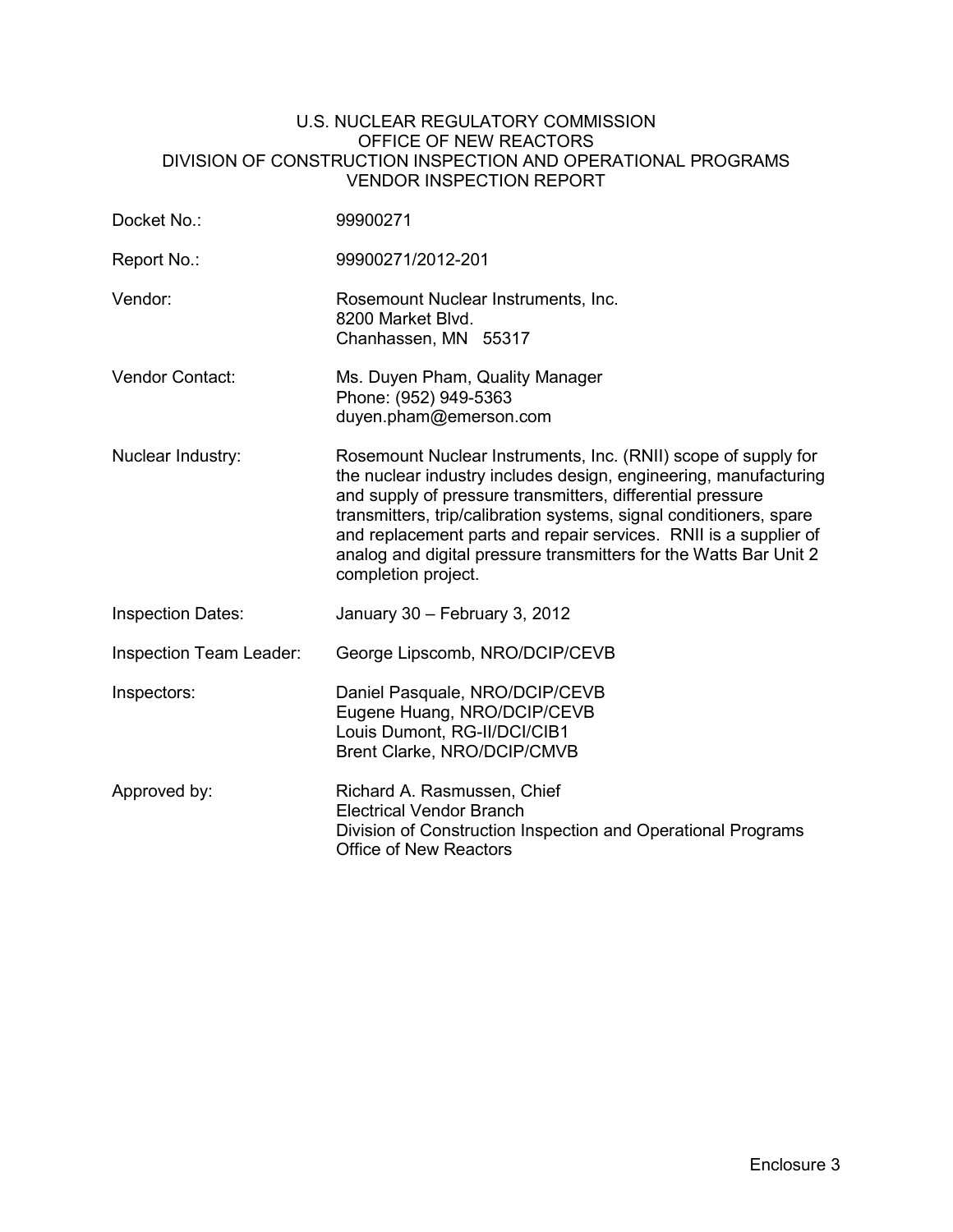#### U.S. NUCLEAR REGULATORY COMMISSION OFFICE OF NEW REACTORS DIVISION OF CONSTRUCTION INSPECTION AND OPERATIONAL PROGRAMS VENDOR INSPECTION REPORT

| Docket No.:                    | 99900271                                                                                                                                                                                                                                                                                                                                                                                                                               |
|--------------------------------|----------------------------------------------------------------------------------------------------------------------------------------------------------------------------------------------------------------------------------------------------------------------------------------------------------------------------------------------------------------------------------------------------------------------------------------|
| Report No.:                    | 99900271/2012-201                                                                                                                                                                                                                                                                                                                                                                                                                      |
| Vendor:                        | Rosemount Nuclear Instruments, Inc.<br>8200 Market Blvd.<br>Chanhassen, MN 55317                                                                                                                                                                                                                                                                                                                                                       |
| Vendor Contact:                | Ms. Duyen Pham, Quality Manager<br>Phone: (952) 949-5363<br>duyen.pham@emerson.com                                                                                                                                                                                                                                                                                                                                                     |
| Nuclear Industry:              | Rosemount Nuclear Instruments, Inc. (RNII) scope of supply for<br>the nuclear industry includes design, engineering, manufacturing<br>and supply of pressure transmitters, differential pressure<br>transmitters, trip/calibration systems, signal conditioners, spare<br>and replacement parts and repair services. RNII is a supplier of<br>analog and digital pressure transmitters for the Watts Bar Unit 2<br>completion project. |
| <b>Inspection Dates:</b>       | January 30 - February 3, 2012                                                                                                                                                                                                                                                                                                                                                                                                          |
| <b>Inspection Team Leader:</b> | George Lipscomb, NRO/DCIP/CEVB                                                                                                                                                                                                                                                                                                                                                                                                         |
| Inspectors:                    | Daniel Pasquale, NRO/DCIP/CEVB<br>Eugene Huang, NRO/DCIP/CEVB<br>Louis Dumont, RG-II/DCI/CIB1<br>Brent Clarke, NRO/DCIP/CMVB                                                                                                                                                                                                                                                                                                           |
| Approved by:                   | Richard A. Rasmussen, Chief<br><b>Electrical Vendor Branch</b><br>Division of Construction Inspection and Operational Programs<br><b>Office of New Reactors</b>                                                                                                                                                                                                                                                                        |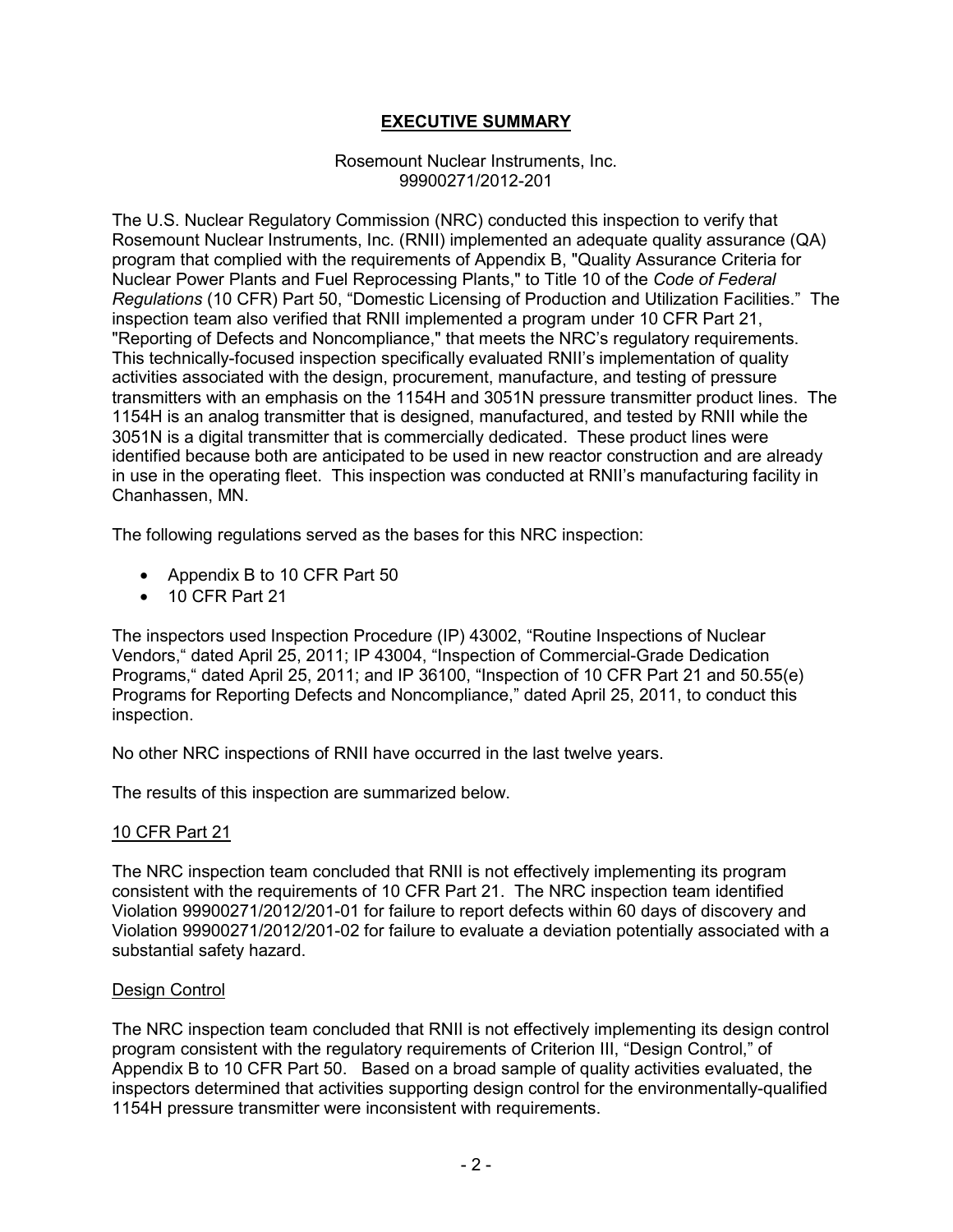# **EXECUTIVE SUMMARY**

#### Rosemount Nuclear Instruments, Inc. 99900271/2012-201

The U.S. Nuclear Regulatory Commission (NRC) conducted this inspection to verify that Rosemount Nuclear Instruments, Inc. (RNII) implemented an adequate quality assurance (QA) program that complied with the requirements of Appendix B, "Quality Assurance Criteria for Nuclear Power Plants and Fuel Reprocessing Plants," to Title 10 of the *Code of Federal Regulations* (10 CFR) Part 50, "Domestic Licensing of Production and Utilization Facilities." The inspection team also verified that RNII implemented a program under 10 CFR Part 21, "Reporting of Defects and Noncompliance," that meets the NRC's regulatory requirements. This technically-focused inspection specifically evaluated RNII's implementation of quality activities associated with the design, procurement, manufacture, and testing of pressure transmitters with an emphasis on the 1154H and 3051N pressure transmitter product lines. The 1154H is an analog transmitter that is designed, manufactured, and tested by RNII while the 3051N is a digital transmitter that is commercially dedicated. These product lines were identified because both are anticipated to be used in new reactor construction and are already in use in the operating fleet. This inspection was conducted at RNII's manufacturing facility in Chanhassen, MN.

The following regulations served as the bases for this NRC inspection:

- Appendix B to 10 CFR Part 50
- 10 CFR Part 21

The inspectors used Inspection Procedure (IP) 43002, "Routine Inspections of Nuclear Vendors," dated April 25, 2011; IP 43004, "Inspection of Commercial-Grade Dedication Programs," dated April 25, 2011; and IP 36100, "Inspection of 10 CFR Part 21 and 50.55(e) Programs for Reporting Defects and Noncompliance," dated April 25, 2011, to conduct this inspection.

No other NRC inspections of RNII have occurred in the last twelve years.

The results of this inspection are summarized below.

# 10 CFR Part 21

The NRC inspection team concluded that RNII is not effectively implementing its program consistent with the requirements of 10 CFR Part 21. The NRC inspection team identified Violation 99900271/2012/201-01 for failure to report defects within 60 days of discovery and Violation 99900271/2012/201-02 for failure to evaluate a deviation potentially associated with a substantial safety hazard.

#### Design Control

The NRC inspection team concluded that RNII is not effectively implementing its design control program consistent with the regulatory requirements of Criterion III, "Design Control," of Appendix B to 10 CFR Part 50. Based on a broad sample of quality activities evaluated, the inspectors determined that activities supporting design control for the environmentally-qualified 1154H pressure transmitter were inconsistent with requirements.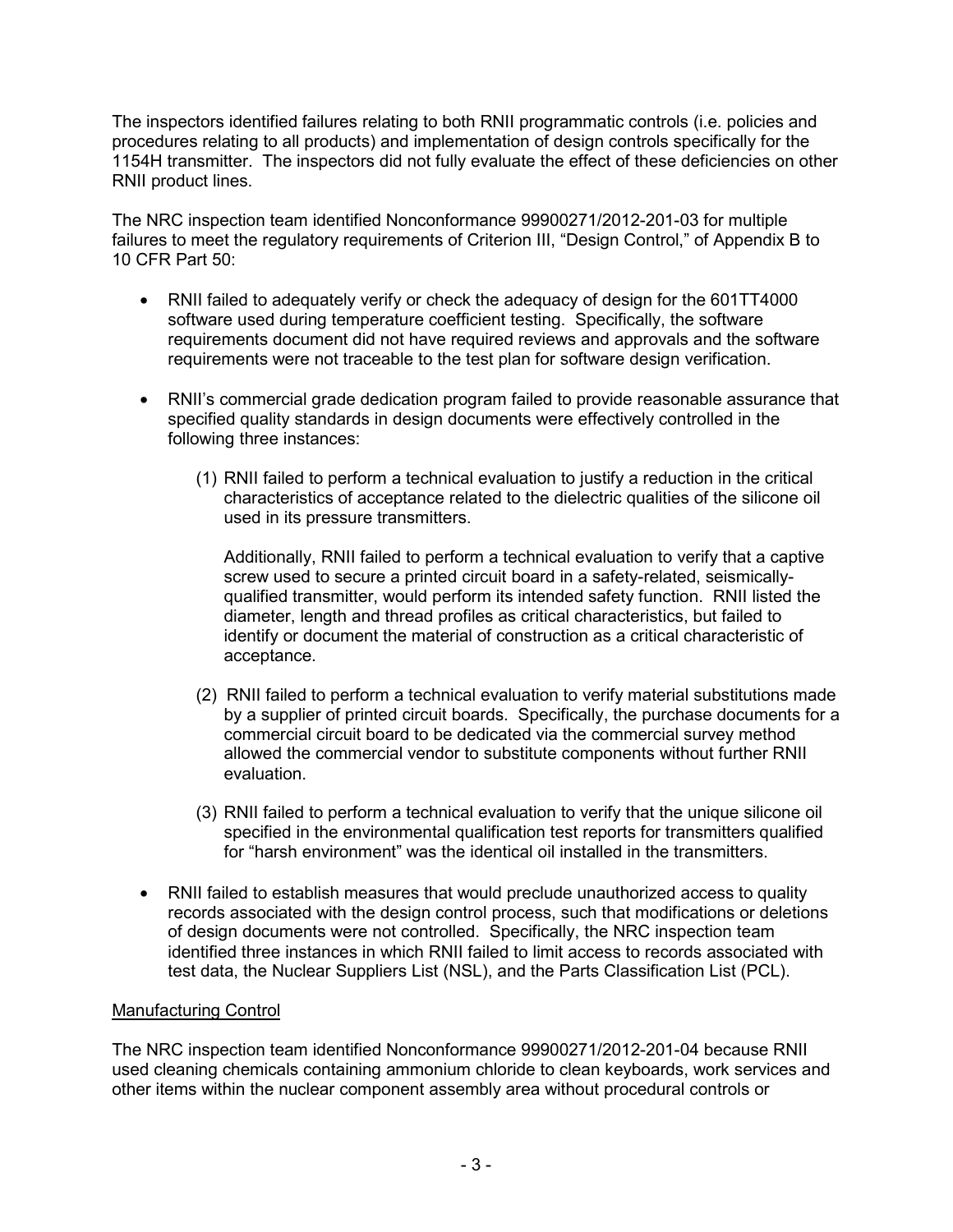The inspectors identified failures relating to both RNII programmatic controls (i.e. policies and procedures relating to all products) and implementation of design controls specifically for the 1154H transmitter. The inspectors did not fully evaluate the effect of these deficiencies on other RNII product lines.

The NRC inspection team identified Nonconformance 99900271/2012-201-03 for multiple failures to meet the regulatory requirements of Criterion III, "Design Control," of Appendix B to 10 CFR Part 50:

- RNII failed to adequately verify or check the adequacy of design for the 601TT4000 software used during temperature coefficient testing. Specifically, the software requirements document did not have required reviews and approvals and the software requirements were not traceable to the test plan for software design verification.
- RNII's commercial grade dedication program failed to provide reasonable assurance that specified quality standards in design documents were effectively controlled in the following three instances:
	- (1) RNII failed to perform a technical evaluation to justify a reduction in the critical characteristics of acceptance related to the dielectric qualities of the silicone oil used in its pressure transmitters.

Additionally, RNII failed to perform a technical evaluation to verify that a captive screw used to secure a printed circuit board in a safety-related, seismicallyqualified transmitter, would perform its intended safety function. RNII listed the diameter, length and thread profiles as critical characteristics, but failed to identify or document the material of construction as a critical characteristic of acceptance.

- (2) RNII failed to perform a technical evaluation to verify material substitutions made by a supplier of printed circuit boards. Specifically, the purchase documents for a commercial circuit board to be dedicated via the commercial survey method allowed the commercial vendor to substitute components without further RNII evaluation.
- (3) RNII failed to perform a technical evaluation to verify that the unique silicone oil specified in the environmental qualification test reports for transmitters qualified for "harsh environment" was the identical oil installed in the transmitters.
- RNII failed to establish measures that would preclude unauthorized access to quality records associated with the design control process, such that modifications or deletions of design documents were not controlled. Specifically, the NRC inspection team identified three instances in which RNII failed to limit access to records associated with test data, the Nuclear Suppliers List (NSL), and the Parts Classification List (PCL).

# Manufacturing Control

The NRC inspection team identified Nonconformance 99900271/2012-201-04 because RNII used cleaning chemicals containing ammonium chloride to clean keyboards, work services and other items within the nuclear component assembly area without procedural controls or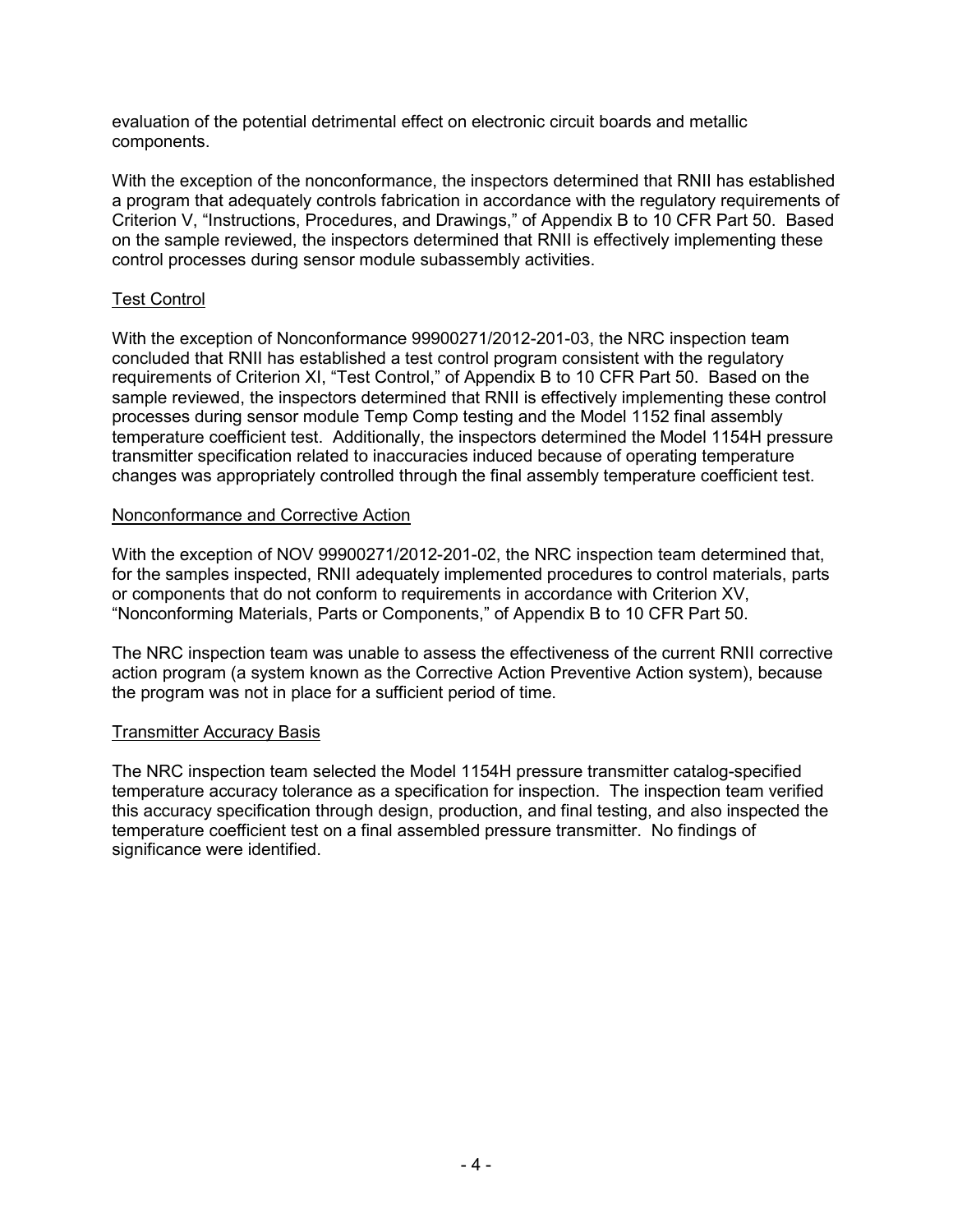evaluation of the potential detrimental effect on electronic circuit boards and metallic components.

With the exception of the nonconformance, the inspectors determined that RNII has established a program that adequately controls fabrication in accordance with the regulatory requirements of Criterion V, "Instructions, Procedures, and Drawings," of Appendix B to 10 CFR Part 50. Based on the sample reviewed, the inspectors determined that RNII is effectively implementing these control processes during sensor module subassembly activities.

# Test Control

With the exception of Nonconformance 99900271/2012-201-03, the NRC inspection team concluded that RNII has established a test control program consistent with the regulatory requirements of Criterion XI, "Test Control," of Appendix B to 10 CFR Part 50. Based on the sample reviewed, the inspectors determined that RNII is effectively implementing these control processes during sensor module Temp Comp testing and the Model 1152 final assembly temperature coefficient test. Additionally, the inspectors determined the Model 1154H pressure transmitter specification related to inaccuracies induced because of operating temperature changes was appropriately controlled through the final assembly temperature coefficient test.

# Nonconformance and Corrective Action

With the exception of NOV 99900271/2012-201-02, the NRC inspection team determined that, for the samples inspected, RNII adequately implemented procedures to control materials, parts or components that do not conform to requirements in accordance with Criterion XV, "Nonconforming Materials, Parts or Components," of Appendix B to 10 CFR Part 50.

The NRC inspection team was unable to assess the effectiveness of the current RNII corrective action program (a system known as the Corrective Action Preventive Action system), because the program was not in place for a sufficient period of time.

# Transmitter Accuracy Basis

The NRC inspection team selected the Model 1154H pressure transmitter catalog-specified temperature accuracy tolerance as a specification for inspection. The inspection team verified this accuracy specification through design, production, and final testing, and also inspected the temperature coefficient test on a final assembled pressure transmitter. No findings of significance were identified.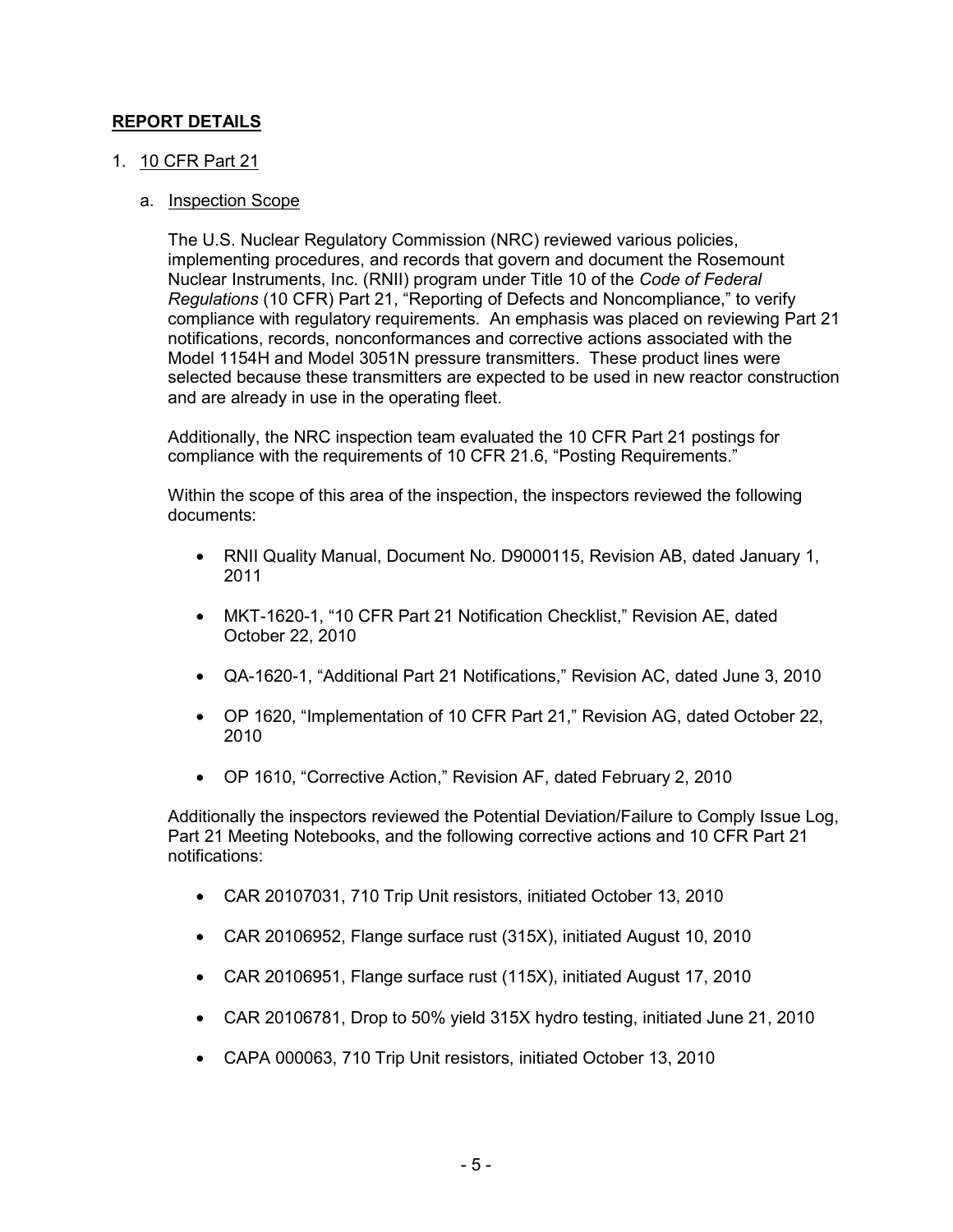# **REPORT DETAILS**

# 1. 10 CFR Part 21

#### a. Inspection Scope

The U.S. Nuclear Regulatory Commission (NRC) reviewed various policies, implementing procedures, and records that govern and document the Rosemount Nuclear Instruments, Inc. (RNII) program under Title 10 of the *Code of Federal Regulations* (10 CFR) Part 21, "Reporting of Defects and Noncompliance," to verify compliance with regulatory requirements. An emphasis was placed on reviewing Part 21 notifications, records, nonconformances and corrective actions associated with the Model 1154H and Model 3051N pressure transmitters. These product lines were selected because these transmitters are expected to be used in new reactor construction and are already in use in the operating fleet.

Additionally, the NRC inspection team evaluated the 10 CFR Part 21 postings for compliance with the requirements of 10 CFR 21.6, "Posting Requirements."

Within the scope of this area of the inspection, the inspectors reviewed the following documents:

- RNII Quality Manual, Document No. D9000115, Revision AB, dated January 1, 2011
- MKT-1620-1, "10 CFR Part 21 Notification Checklist," Revision AE, dated October 22, 2010
- QA-1620-1, "Additional Part 21 Notifications," Revision AC, dated June 3, 2010
- OP 1620, "Implementation of 10 CFR Part 21," Revision AG, dated October 22, 2010
- OP 1610, "Corrective Action," Revision AF, dated February 2, 2010

Additionally the inspectors reviewed the Potential Deviation/Failure to Comply Issue Log, Part 21 Meeting Notebooks, and the following corrective actions and 10 CFR Part 21 notifications:

- CAR 20107031, 710 Trip Unit resistors, initiated October 13, 2010
- CAR 20106952, Flange surface rust (315X), initiated August 10, 2010
- CAR 20106951, Flange surface rust (115X), initiated August 17, 2010
- CAR 20106781, Drop to 50% yield 315X hydro testing, initiated June 21, 2010
- CAPA 000063, 710 Trip Unit resistors, initiated October 13, 2010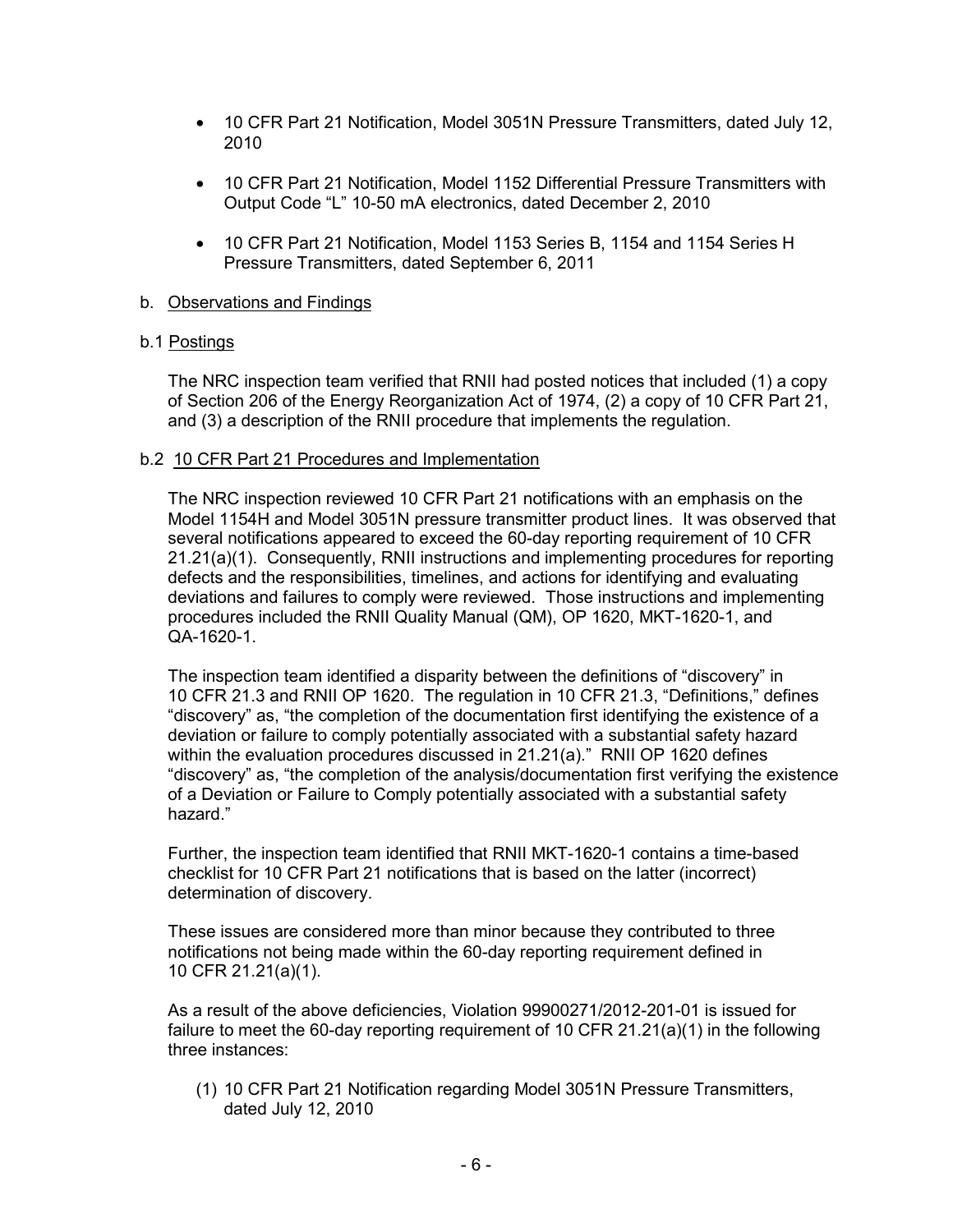- 10 CFR Part 21 Notification, Model 3051N Pressure Transmitters, dated July 12, 2010
- 10 CFR Part 21 Notification, Model 1152 Differential Pressure Transmitters with Output Code "L" 10-50 mA electronics, dated December 2, 2010
- 10 CFR Part 21 Notification, Model 1153 Series B, 1154 and 1154 Series H Pressure Transmitters, dated September 6, 2011

# b. Observations and Findings

#### b.1 Postings

The NRC inspection team verified that RNII had posted notices that included (1) a copy of Section 206 of the Energy Reorganization Act of 1974, (2) a copy of 10 CFR Part 21, and (3) a description of the RNII procedure that implements the regulation.

#### b.2 10 CFR Part 21 Procedures and Implementation

The NRC inspection reviewed 10 CFR Part 21 notifications with an emphasis on the Model 1154H and Model 3051N pressure transmitter product lines. It was observed that several notifications appeared to exceed the 60-day reporting requirement of 10 CFR 21.21(a)(1). Consequently, RNII instructions and implementing procedures for reporting defects and the responsibilities, timelines, and actions for identifying and evaluating deviations and failures to comply were reviewed. Those instructions and implementing procedures included the RNII Quality Manual (QM), OP 1620, MKT-1620-1, and QA-1620-1.

The inspection team identified a disparity between the definitions of "discovery" in 10 CFR 21.3 and RNII OP 1620. The regulation in 10 CFR 21.3, "Definitions," defines "discovery" as, "the completion of the documentation first identifying the existence of a deviation or failure to comply potentially associated with a substantial safety hazard within the evaluation procedures discussed in 21.21(a)." RNII OP 1620 defines "discovery" as, "the completion of the analysis/documentation first verifying the existence of a Deviation or Failure to Comply potentially associated with a substantial safety hazard."

Further, the inspection team identified that RNII MKT-1620-1 contains a time-based checklist for 10 CFR Part 21 notifications that is based on the latter (incorrect) determination of discovery.

These issues are considered more than minor because they contributed to three notifications not being made within the 60-day reporting requirement defined in 10 CFR 21.21(a)(1).

As a result of the above deficiencies, Violation 99900271/2012-201-01 is issued for failure to meet the 60-day reporting requirement of 10 CFR 21.21(a)(1) in the following three instances:

(1) 10 CFR Part 21 Notification regarding Model 3051N Pressure Transmitters, dated July 12, 2010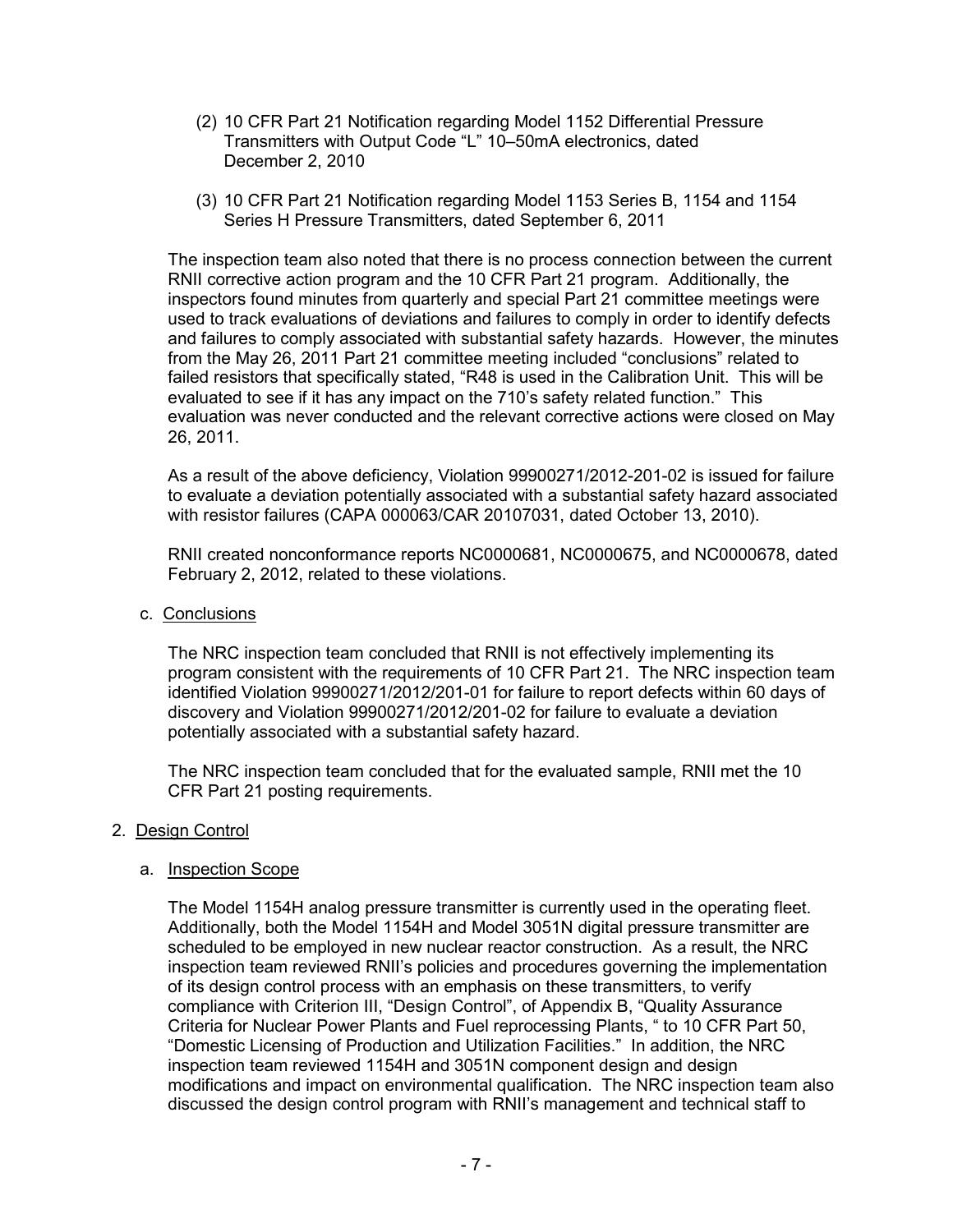- (2) 10 CFR Part 21 Notification regarding Model 1152 Differential Pressure Transmitters with Output Code "L" 10–50mA electronics, dated December 2, 2010
- (3) 10 CFR Part 21 Notification regarding Model 1153 Series B, 1154 and 1154 Series H Pressure Transmitters, dated September 6, 2011

The inspection team also noted that there is no process connection between the current RNII corrective action program and the 10 CFR Part 21 program. Additionally, the inspectors found minutes from quarterly and special Part 21 committee meetings were used to track evaluations of deviations and failures to comply in order to identify defects and failures to comply associated with substantial safety hazards. However, the minutes from the May 26, 2011 Part 21 committee meeting included "conclusions" related to failed resistors that specifically stated, "R48 is used in the Calibration Unit. This will be evaluated to see if it has any impact on the 710's safety related function." This evaluation was never conducted and the relevant corrective actions were closed on May 26, 2011.

As a result of the above deficiency, Violation 99900271/2012-201-02 is issued for failure to evaluate a deviation potentially associated with a substantial safety hazard associated with resistor failures (CAPA 000063/CAR 20107031, dated October 13, 2010).

RNII created nonconformance reports NC0000681, NC0000675, and NC0000678, dated February 2, 2012, related to these violations.

c. Conclusions

The NRC inspection team concluded that RNII is not effectively implementing its program consistent with the requirements of 10 CFR Part 21. The NRC inspection team identified Violation 99900271/2012/201-01 for failure to report defects within 60 days of discovery and Violation 99900271/2012/201-02 for failure to evaluate a deviation potentially associated with a substantial safety hazard.

The NRC inspection team concluded that for the evaluated sample, RNII met the 10 CFR Part 21 posting requirements.

# 2. Design Control

# a. Inspection Scope

The Model 1154H analog pressure transmitter is currently used in the operating fleet. Additionally, both the Model 1154H and Model 3051N digital pressure transmitter are scheduled to be employed in new nuclear reactor construction. As a result, the NRC inspection team reviewed RNII's policies and procedures governing the implementation of its design control process with an emphasis on these transmitters, to verify compliance with Criterion III, "Design Control", of Appendix B, "Quality Assurance Criteria for Nuclear Power Plants and Fuel reprocessing Plants, " to 10 CFR Part 50, "Domestic Licensing of Production and Utilization Facilities." In addition, the NRC inspection team reviewed 1154H and 3051N component design and design modifications and impact on environmental qualification. The NRC inspection team also discussed the design control program with RNII's management and technical staff to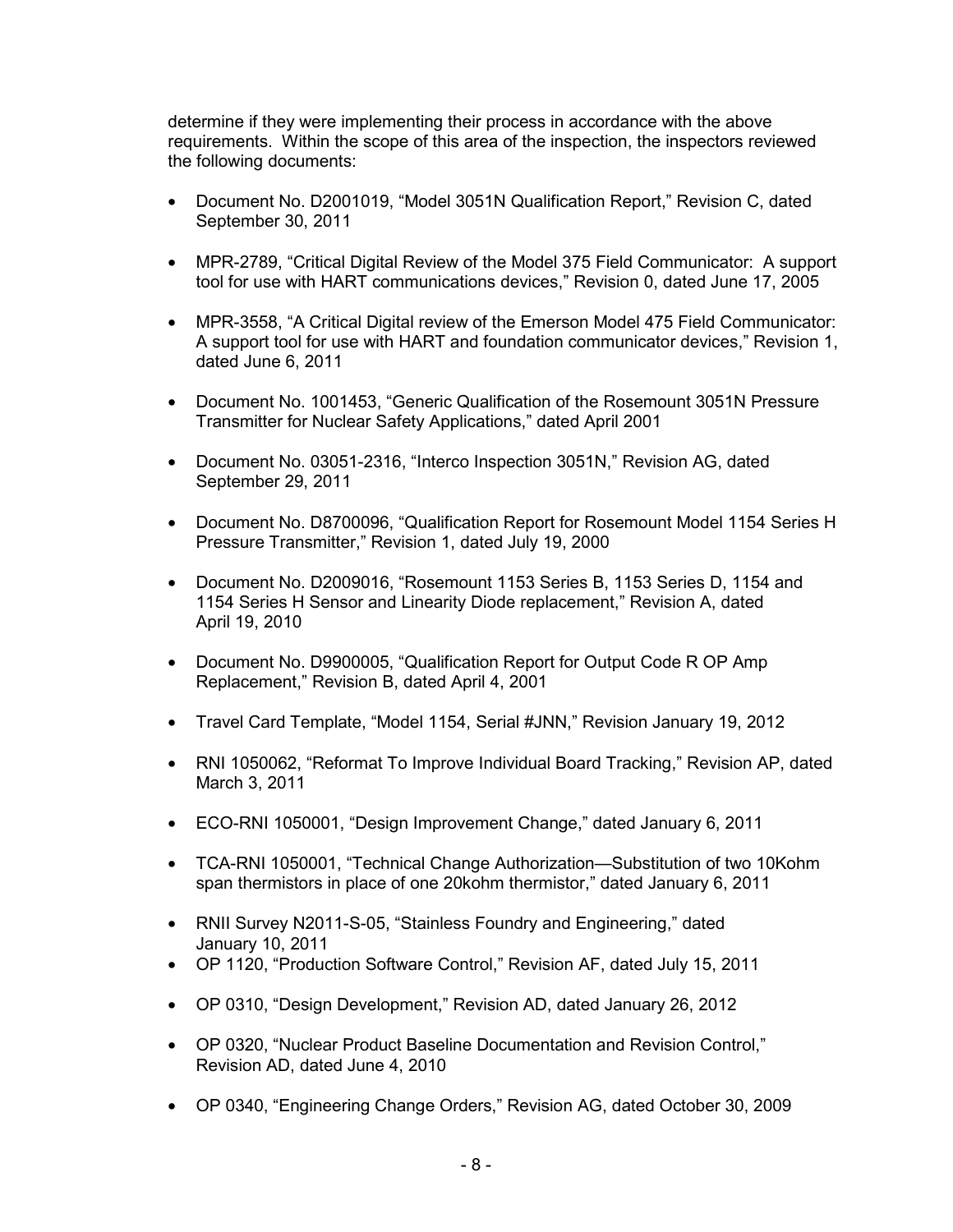determine if they were implementing their process in accordance with the above requirements. Within the scope of this area of the inspection, the inspectors reviewed the following documents:

- Document No. D2001019, "Model 3051N Qualification Report," Revision C, dated September 30, 2011
- MPR-2789, "Critical Digital Review of the Model 375 Field Communicator: A support tool for use with HART communications devices," Revision 0, dated June 17, 2005
- MPR-3558, "A Critical Digital review of the Emerson Model 475 Field Communicator: A support tool for use with HART and foundation communicator devices," Revision 1, dated June 6, 2011
- Document No. 1001453, "Generic Qualification of the Rosemount 3051N Pressure Transmitter for Nuclear Safety Applications," dated April 2001
- Document No. 03051-2316, "Interco Inspection 3051N," Revision AG, dated September 29, 2011
- Document No. D8700096, "Qualification Report for Rosemount Model 1154 Series H Pressure Transmitter," Revision 1, dated July 19, 2000
- Document No. D2009016, "Rosemount 1153 Series B, 1153 Series D, 1154 and 1154 Series H Sensor and Linearity Diode replacement," Revision A, dated April 19, 2010
- Document No. D9900005, "Qualification Report for Output Code R OP Amp Replacement," Revision B, dated April 4, 2001
- Travel Card Template, "Model 1154, Serial #JNN," Revision January 19, 2012
- RNI 1050062, "Reformat To Improve Individual Board Tracking," Revision AP, dated March 3, 2011
- ECO-RNI 1050001, "Design Improvement Change," dated January 6, 2011
- TCA-RNI 1050001, "Technical Change Authorization—Substitution of two 10Kohm span thermistors in place of one 20kohm thermistor," dated January 6, 2011
- RNII Survey N2011-S-05, "Stainless Foundry and Engineering," dated January 10, 2011
- OP 1120, "Production Software Control," Revision AF, dated July 15, 2011
- OP 0310, "Design Development," Revision AD, dated January 26, 2012
- OP 0320, "Nuclear Product Baseline Documentation and Revision Control," Revision AD, dated June 4, 2010
- OP 0340, "Engineering Change Orders," Revision AG, dated October 30, 2009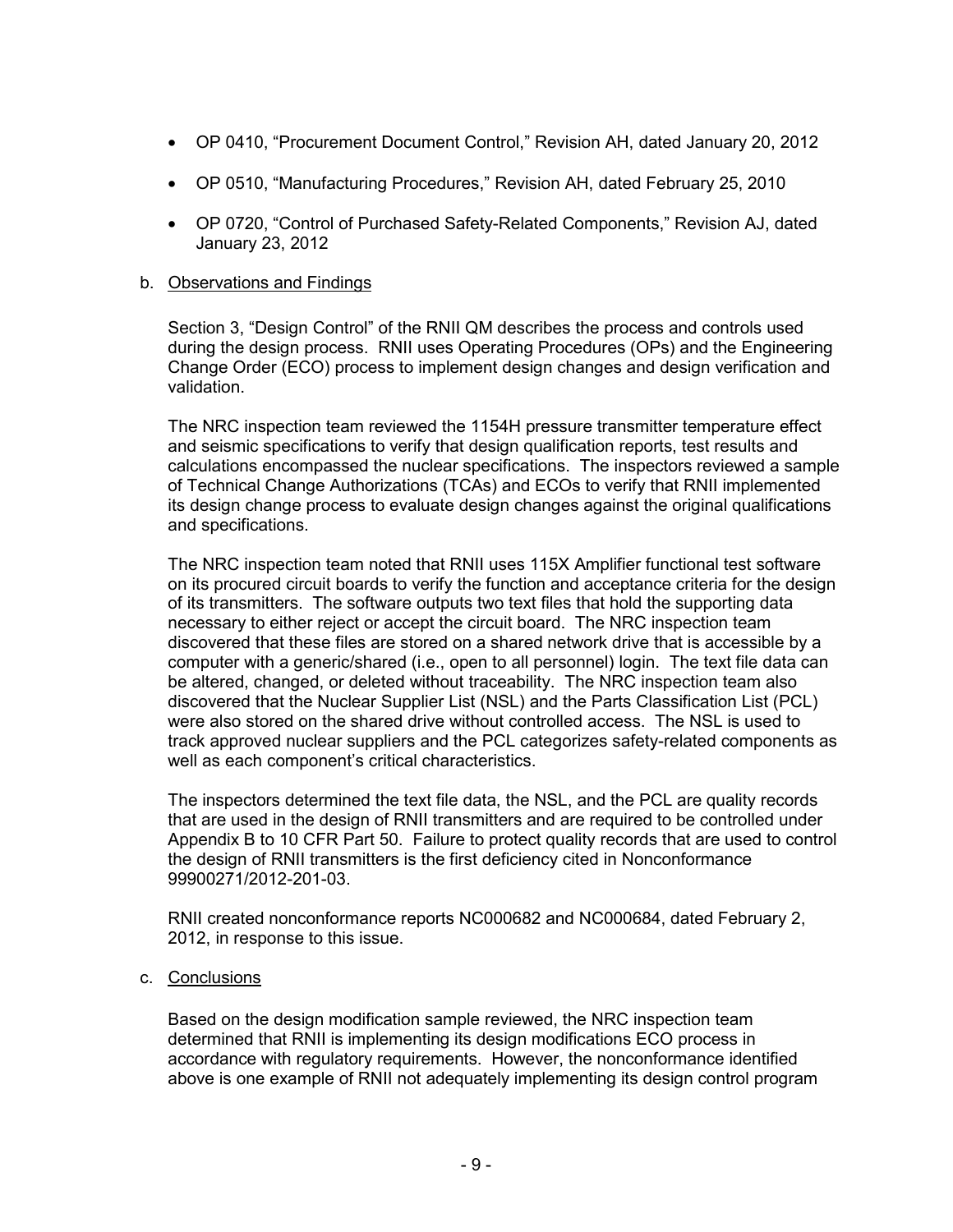- OP 0410, "Procurement Document Control," Revision AH, dated January 20, 2012
- OP 0510, "Manufacturing Procedures," Revision AH, dated February 25, 2010
- OP 0720, "Control of Purchased Safety-Related Components," Revision AJ, dated January 23, 2012

#### b. Observations and Findings

Section 3, "Design Control" of the RNII QM describes the process and controls used during the design process. RNII uses Operating Procedures (OPs) and the Engineering Change Order (ECO) process to implement design changes and design verification and validation.

The NRC inspection team reviewed the 1154H pressure transmitter temperature effect and seismic specifications to verify that design qualification reports, test results and calculations encompassed the nuclear specifications. The inspectors reviewed a sample of Technical Change Authorizations (TCAs) and ECOs to verify that RNII implemented its design change process to evaluate design changes against the original qualifications and specifications.

The NRC inspection team noted that RNII uses 115X Amplifier functional test software on its procured circuit boards to verify the function and acceptance criteria for the design of its transmitters. The software outputs two text files that hold the supporting data necessary to either reject or accept the circuit board. The NRC inspection team discovered that these files are stored on a shared network drive that is accessible by a computer with a generic/shared (i.e., open to all personnel) login. The text file data can be altered, changed, or deleted without traceability. The NRC inspection team also discovered that the Nuclear Supplier List (NSL) and the Parts Classification List (PCL) were also stored on the shared drive without controlled access. The NSL is used to track approved nuclear suppliers and the PCL categorizes safety-related components as well as each component's critical characteristics.

The inspectors determined the text file data, the NSL, and the PCL are quality records that are used in the design of RNII transmitters and are required to be controlled under Appendix B to 10 CFR Part 50. Failure to protect quality records that are used to control the design of RNII transmitters is the first deficiency cited in Nonconformance 99900271/2012-201-03.

RNII created nonconformance reports NC000682 and NC000684, dated February 2, 2012, in response to this issue.

c. Conclusions

Based on the design modification sample reviewed, the NRC inspection team determined that RNII is implementing its design modifications ECO process in accordance with regulatory requirements. However, the nonconformance identified above is one example of RNII not adequately implementing its design control program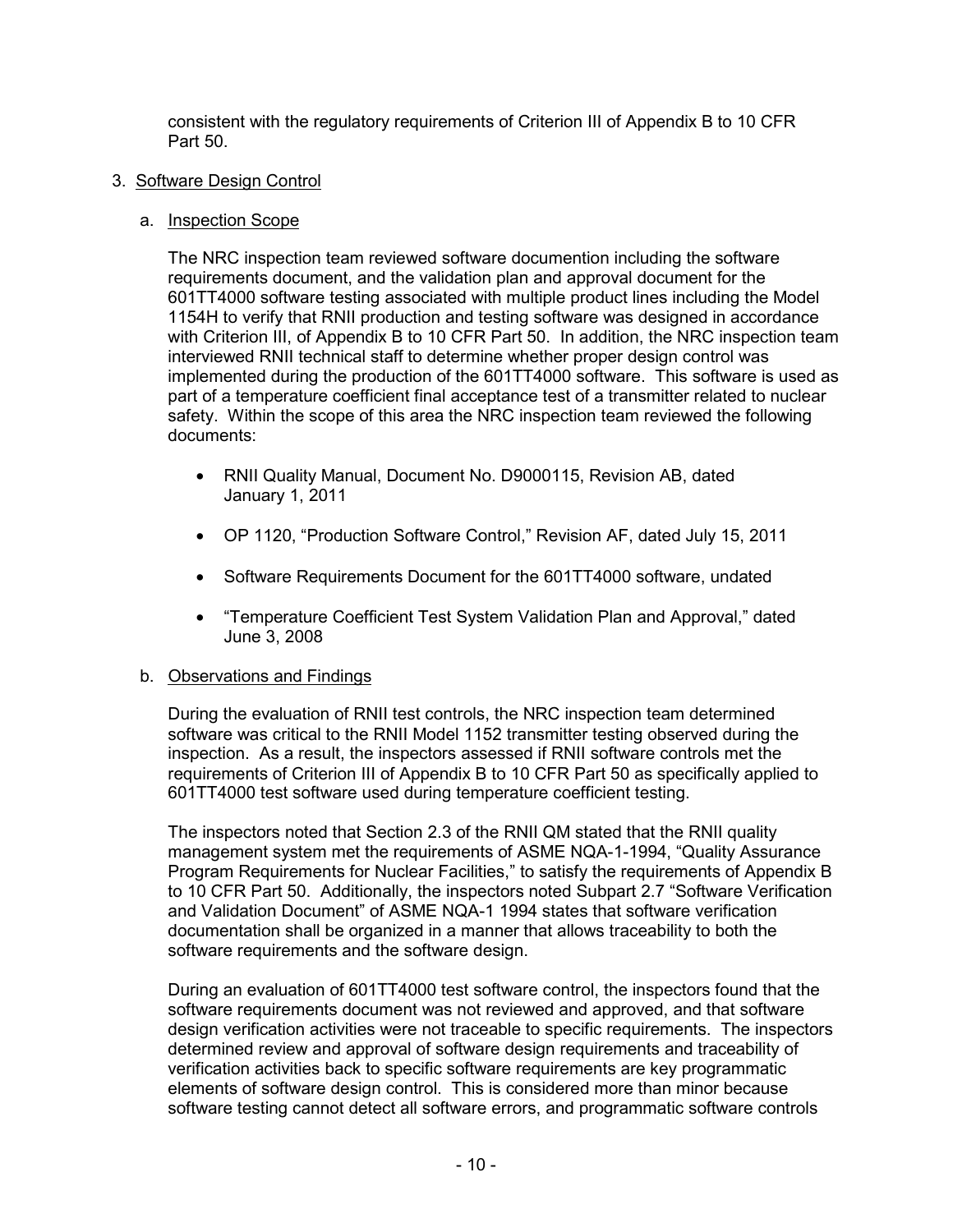consistent with the regulatory requirements of Criterion III of Appendix B to 10 CFR Part 50.

# 3. Software Design Control

# a. Inspection Scope

The NRC inspection team reviewed software documention including the software requirements document, and the validation plan and approval document for the 601TT4000 software testing associated with multiple product lines including the Model 1154H to verify that RNII production and testing software was designed in accordance with Criterion III, of Appendix B to 10 CFR Part 50. In addition, the NRC inspection team interviewed RNII technical staff to determine whether proper design control was implemented during the production of the 601TT4000 software. This software is used as part of a temperature coefficient final acceptance test of a transmitter related to nuclear safety. Within the scope of this area the NRC inspection team reviewed the following documents:

- RNII Quality Manual, Document No. D9000115, Revision AB, dated January 1, 2011
- OP 1120, "Production Software Control," Revision AF, dated July 15, 2011
- Software Requirements Document for the 601TT4000 software, undated
- "Temperature Coefficient Test System Validation Plan and Approval," dated June 3, 2008

# b. Observations and Findings

During the evaluation of RNII test controls, the NRC inspection team determined software was critical to the RNII Model 1152 transmitter testing observed during the inspection. As a result, the inspectors assessed if RNII software controls met the requirements of Criterion III of Appendix B to 10 CFR Part 50 as specifically applied to 601TT4000 test software used during temperature coefficient testing.

The inspectors noted that Section 2.3 of the RNII QM stated that the RNII quality management system met the requirements of ASME NQA-1-1994, "Quality Assurance Program Requirements for Nuclear Facilities," to satisfy the requirements of Appendix B to 10 CFR Part 50. Additionally, the inspectors noted Subpart 2.7 "Software Verification and Validation Document" of ASME NQA-1 1994 states that software verification documentation shall be organized in a manner that allows traceability to both the software requirements and the software design.

During an evaluation of 601TT4000 test software control, the inspectors found that the software requirements document was not reviewed and approved, and that software design verification activities were not traceable to specific requirements. The inspectors determined review and approval of software design requirements and traceability of verification activities back to specific software requirements are key programmatic elements of software design control. This is considered more than minor because software testing cannot detect all software errors, and programmatic software controls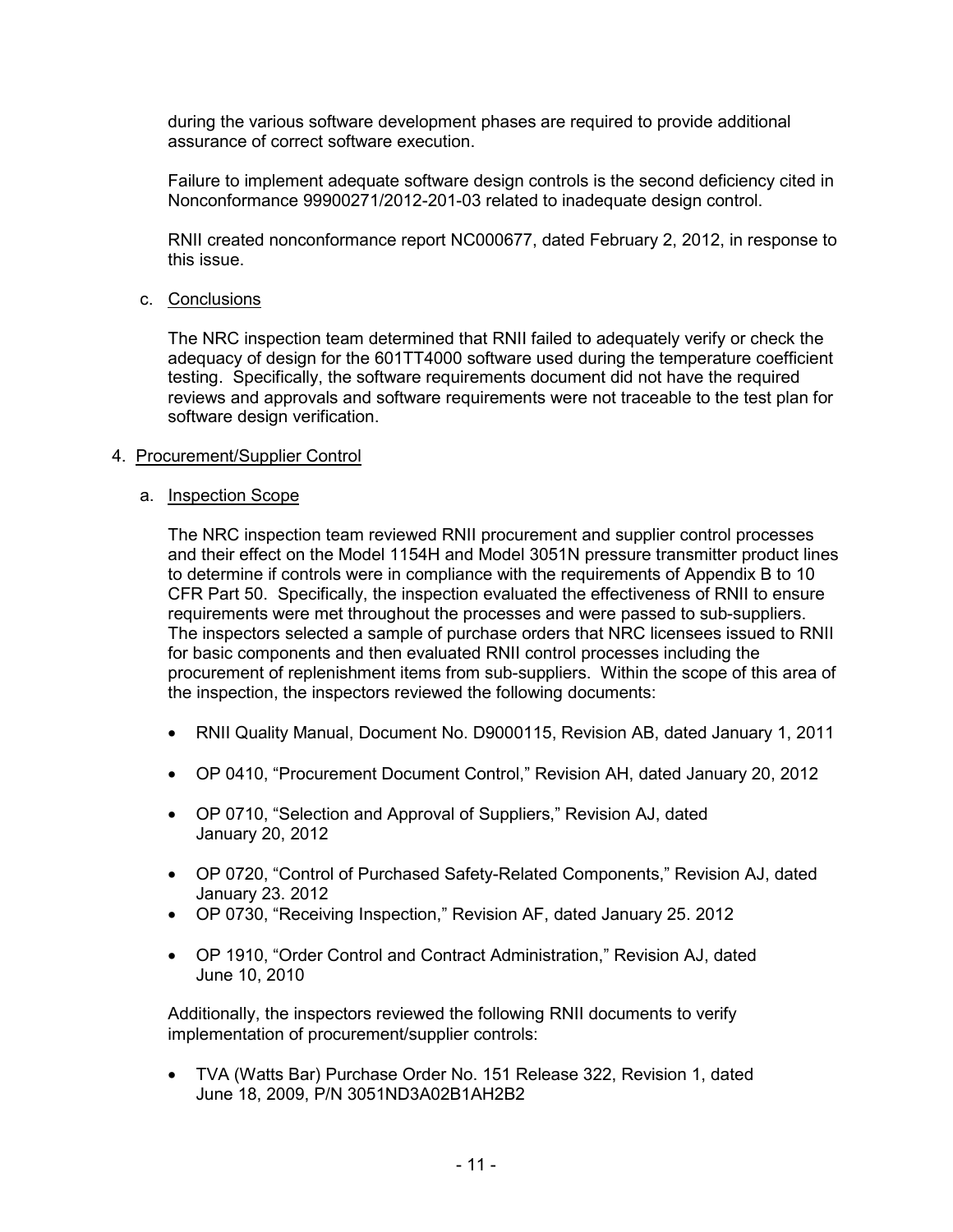during the various software development phases are required to provide additional assurance of correct software execution.

Failure to implement adequate software design controls is the second deficiency cited in Nonconformance 99900271/2012-201-03 related to inadequate design control.

RNII created nonconformance report NC000677, dated February 2, 2012, in response to this issue.

#### c. Conclusions

The NRC inspection team determined that RNII failed to adequately verify or check the adequacy of design for the 601TT4000 software used during the temperature coefficient testing. Specifically, the software requirements document did not have the required reviews and approvals and software requirements were not traceable to the test plan for software design verification.

#### 4. Procurement/Supplier Control

#### a. Inspection Scope

The NRC inspection team reviewed RNII procurement and supplier control processes and their effect on the Model 1154H and Model 3051N pressure transmitter product lines to determine if controls were in compliance with the requirements of Appendix B to 10 CFR Part 50. Specifically, the inspection evaluated the effectiveness of RNII to ensure requirements were met throughout the processes and were passed to sub-suppliers. The inspectors selected a sample of purchase orders that NRC licensees issued to RNII for basic components and then evaluated RNII control processes including the procurement of replenishment items from sub-suppliers. Within the scope of this area of the inspection, the inspectors reviewed the following documents:

- RNII Quality Manual, Document No. D9000115, Revision AB, dated January 1, 2011
- OP 0410, "Procurement Document Control," Revision AH, dated January 20, 2012
- OP 0710, "Selection and Approval of Suppliers," Revision AJ, dated January 20, 2012
- OP 0720, "Control of Purchased Safety-Related Components," Revision AJ, dated January 23. 2012
- OP 0730, "Receiving Inspection," Revision AF, dated January 25. 2012
- OP 1910, "Order Control and Contract Administration," Revision AJ, dated June 10, 2010

Additionally, the inspectors reviewed the following RNII documents to verify implementation of procurement/supplier controls:

• TVA (Watts Bar) Purchase Order No. 151 Release 322, Revision 1, dated June 18, 2009, P/N 3051ND3A02B1AH2B2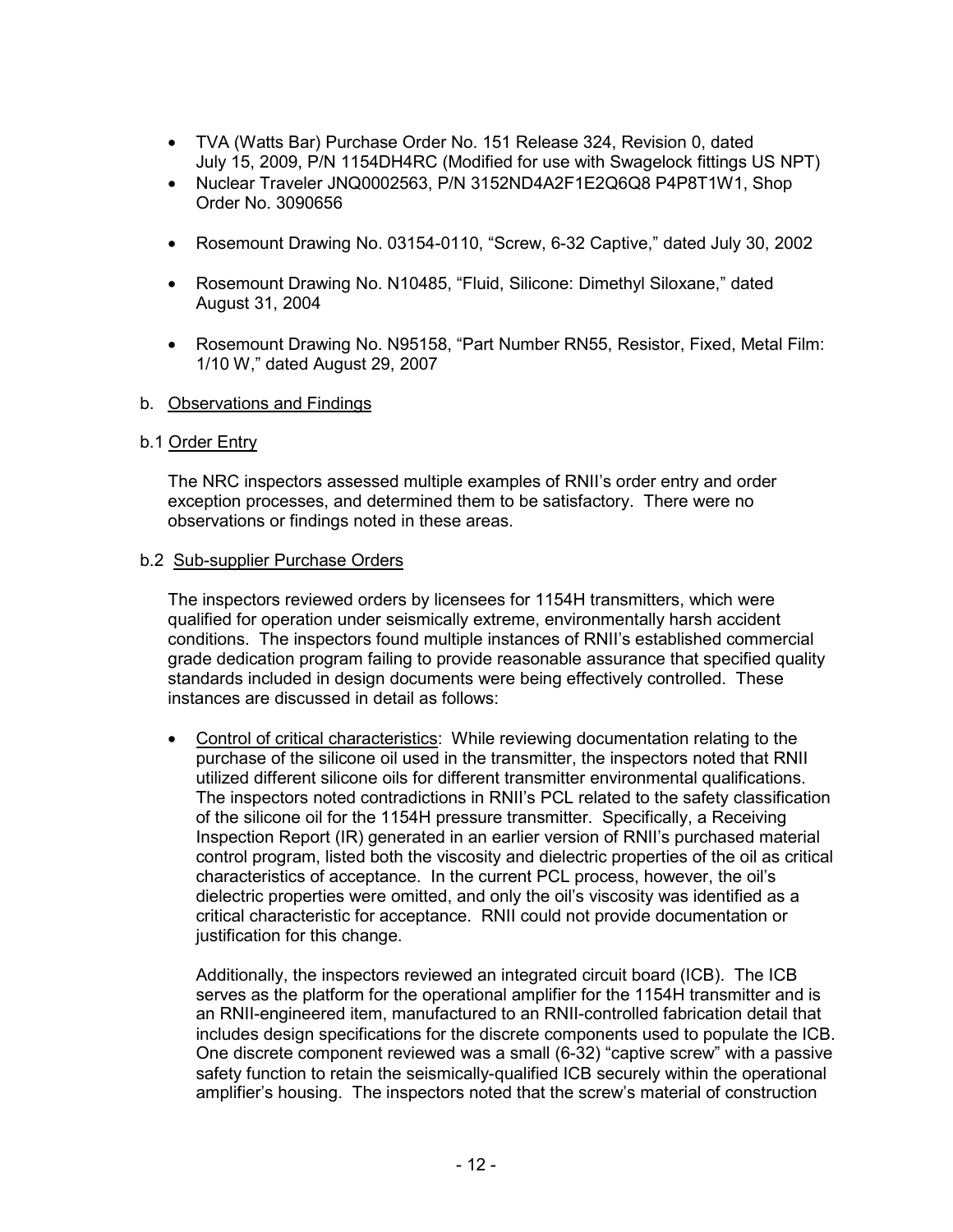- TVA (Watts Bar) Purchase Order No. 151 Release 324, Revision 0, dated July 15, 2009, P/N 1154DH4RC (Modified for use with Swagelock fittings US NPT)
- Nuclear Traveler JNQ0002563, P/N 3152ND4A2F1E2Q6Q8 P4P8T1W1, Shop Order No. 3090656
- Rosemount Drawing No. 03154-0110, "Screw, 6-32 Captive," dated July 30, 2002
- Rosemount Drawing No. N10485, "Fluid, Silicone: Dimethyl Siloxane," dated August 31, 2004
- Rosemount Drawing No. N95158, "Part Number RN55, Resistor, Fixed, Metal Film: 1/10 W," dated August 29, 2007
- b. Observations and Findings

#### b.1 Order Entry

The NRC inspectors assessed multiple examples of RNII's order entry and order exception processes, and determined them to be satisfactory. There were no observations or findings noted in these areas.

#### b.2 Sub-supplier Purchase Orders

The inspectors reviewed orders by licensees for 1154H transmitters, which were qualified for operation under seismically extreme, environmentally harsh accident conditions. The inspectors found multiple instances of RNII's established commercial grade dedication program failing to provide reasonable assurance that specified quality standards included in design documents were being effectively controlled. These instances are discussed in detail as follows:

• Control of critical characteristics: While reviewing documentation relating to the purchase of the silicone oil used in the transmitter, the inspectors noted that RNII utilized different silicone oils for different transmitter environmental qualifications. The inspectors noted contradictions in RNII's PCL related to the safety classification of the silicone oil for the 1154H pressure transmitter. Specifically, a Receiving Inspection Report (IR) generated in an earlier version of RNII's purchased material control program, listed both the viscosity and dielectric properties of the oil as critical characteristics of acceptance. In the current PCL process, however, the oil's dielectric properties were omitted, and only the oil's viscosity was identified as a critical characteristic for acceptance. RNII could not provide documentation or justification for this change.

Additionally, the inspectors reviewed an integrated circuit board (ICB). The ICB serves as the platform for the operational amplifier for the 1154H transmitter and is an RNII-engineered item, manufactured to an RNII-controlled fabrication detail that includes design specifications for the discrete components used to populate the ICB. One discrete component reviewed was a small (6-32) "captive screw" with a passive safety function to retain the seismically-qualified ICB securely within the operational amplifier's housing. The inspectors noted that the screw's material of construction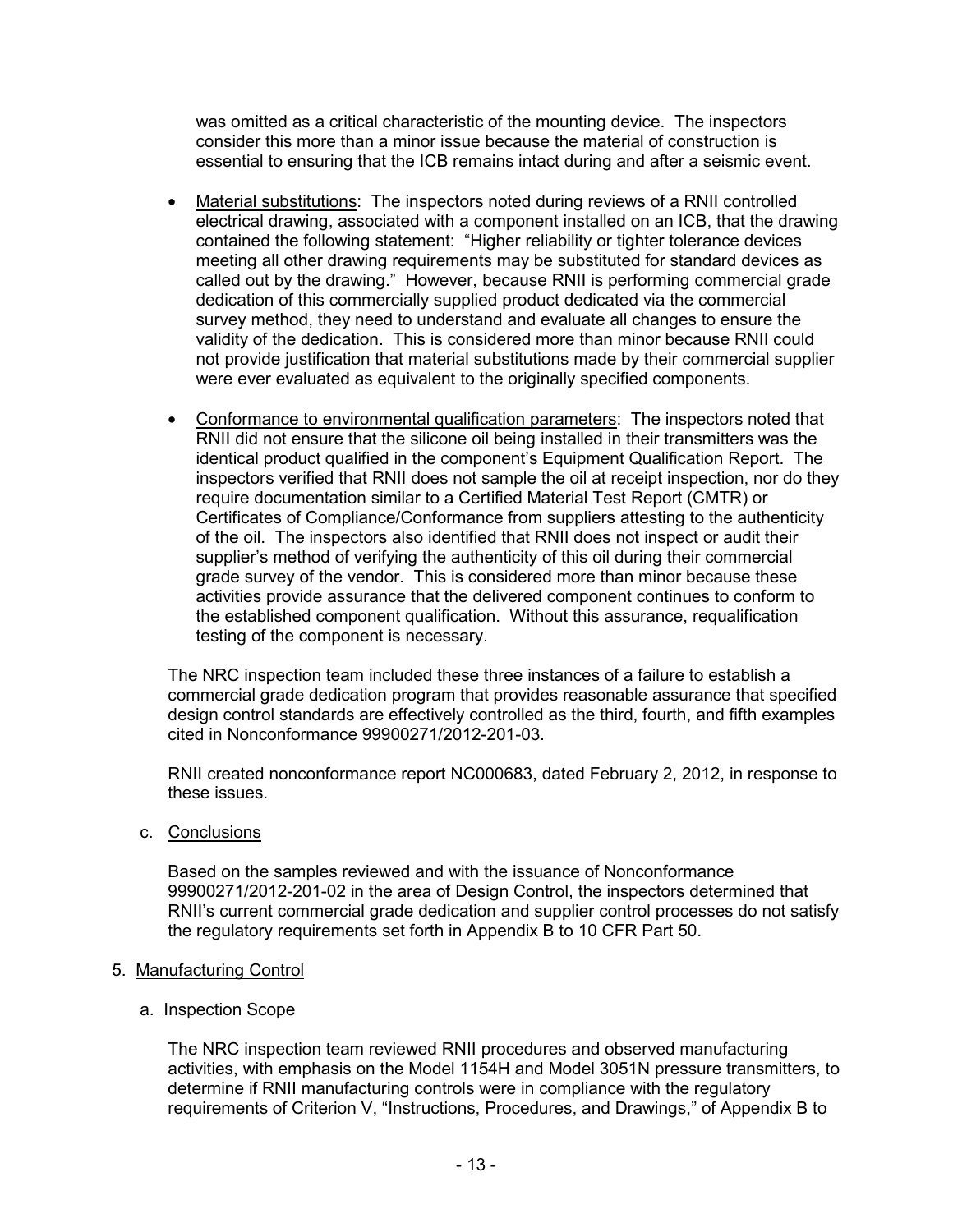was omitted as a critical characteristic of the mounting device. The inspectors consider this more than a minor issue because the material of construction is essential to ensuring that the ICB remains intact during and after a seismic event.

- Material substitutions: The inspectors noted during reviews of a RNII controlled electrical drawing, associated with a component installed on an ICB, that the drawing contained the following statement: "Higher reliability or tighter tolerance devices meeting all other drawing requirements may be substituted for standard devices as called out by the drawing." However, because RNII is performing commercial grade dedication of this commercially supplied product dedicated via the commercial survey method, they need to understand and evaluate all changes to ensure the validity of the dedication. This is considered more than minor because RNII could not provide justification that material substitutions made by their commercial supplier were ever evaluated as equivalent to the originally specified components.
- Conformance to environmental qualification parameters: The inspectors noted that RNII did not ensure that the silicone oil being installed in their transmitters was the identical product qualified in the component's Equipment Qualification Report. The inspectors verified that RNII does not sample the oil at receipt inspection, nor do they require documentation similar to a Certified Material Test Report (CMTR) or Certificates of Compliance/Conformance from suppliers attesting to the authenticity of the oil. The inspectors also identified that RNII does not inspect or audit their supplier's method of verifying the authenticity of this oil during their commercial grade survey of the vendor. This is considered more than minor because these activities provide assurance that the delivered component continues to conform to the established component qualification. Without this assurance, requalification testing of the component is necessary.

The NRC inspection team included these three instances of a failure to establish a commercial grade dedication program that provides reasonable assurance that specified design control standards are effectively controlled as the third, fourth, and fifth examples cited in Nonconformance 99900271/2012-201-03.

RNII created nonconformance report NC000683, dated February 2, 2012, in response to these issues.

c. Conclusions

Based on the samples reviewed and with the issuance of Nonconformance 99900271/2012-201-02 in the area of Design Control, the inspectors determined that RNII's current commercial grade dedication and supplier control processes do not satisfy the regulatory requirements set forth in Appendix B to 10 CFR Part 50.

# 5. Manufacturing Control

#### a. Inspection Scope

The NRC inspection team reviewed RNII procedures and observed manufacturing activities, with emphasis on the Model 1154H and Model 3051N pressure transmitters, to determine if RNII manufacturing controls were in compliance with the regulatory requirements of Criterion V, "Instructions, Procedures, and Drawings," of Appendix B to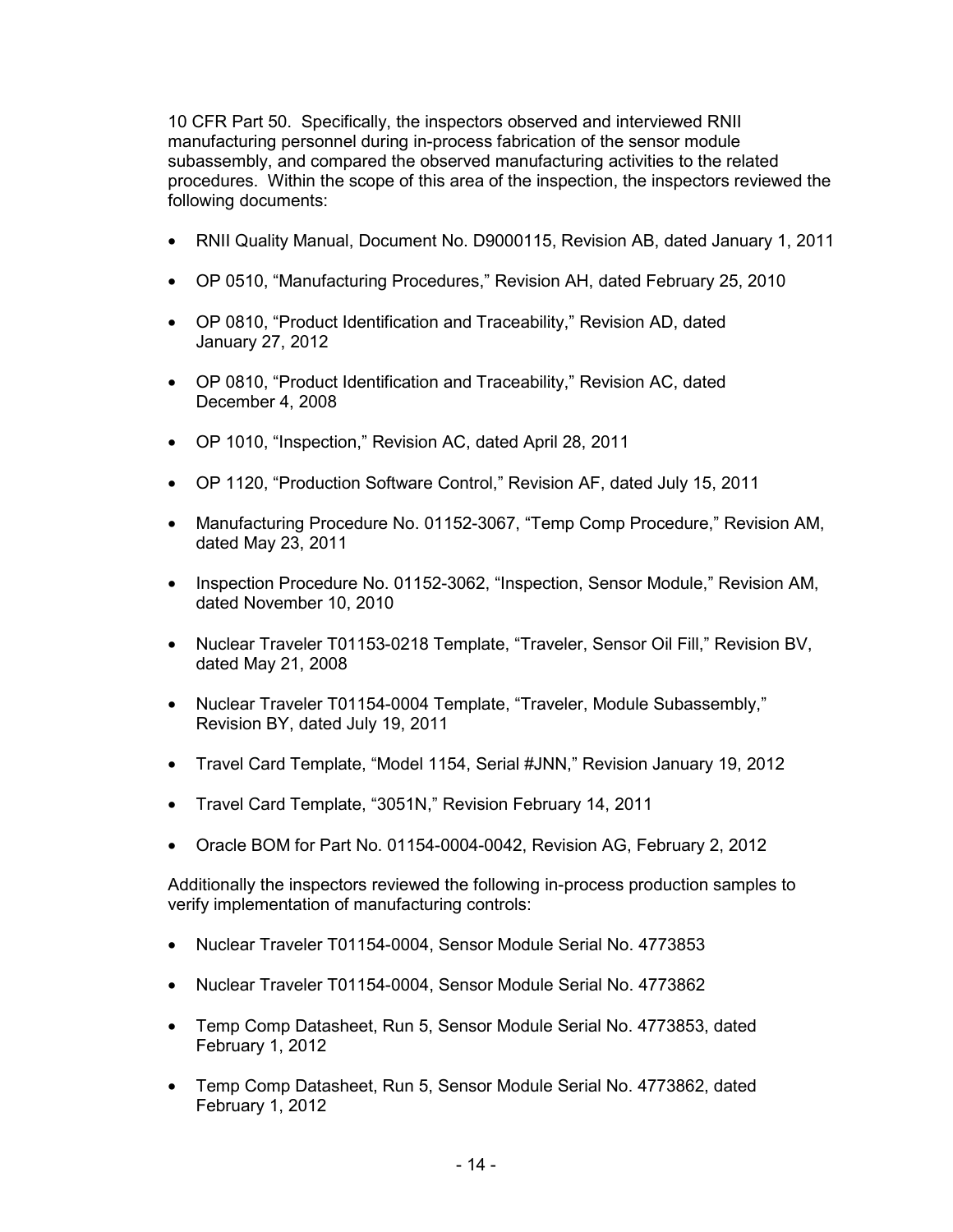10 CFR Part 50. Specifically, the inspectors observed and interviewed RNII manufacturing personnel during in-process fabrication of the sensor module subassembly, and compared the observed manufacturing activities to the related procedures. Within the scope of this area of the inspection, the inspectors reviewed the following documents:

- RNII Quality Manual, Document No. D9000115, Revision AB, dated January 1, 2011
- OP 0510, "Manufacturing Procedures," Revision AH, dated February 25, 2010
- OP 0810, "Product Identification and Traceability," Revision AD, dated January 27, 2012
- OP 0810, "Product Identification and Traceability," Revision AC, dated December 4, 2008
- OP 1010, "Inspection," Revision AC, dated April 28, 2011
- OP 1120, "Production Software Control," Revision AF, dated July 15, 2011
- Manufacturing Procedure No. 01152-3067, "Temp Comp Procedure," Revision AM, dated May 23, 2011
- Inspection Procedure No. 01152-3062, "Inspection, Sensor Module," Revision AM, dated November 10, 2010
- Nuclear Traveler T01153-0218 Template, "Traveler, Sensor Oil Fill," Revision BV, dated May 21, 2008
- Nuclear Traveler T01154-0004 Template, "Traveler, Module Subassembly," Revision BY, dated July 19, 2011
- Travel Card Template, "Model 1154, Serial #JNN," Revision January 19, 2012
- Travel Card Template, "3051N," Revision February 14, 2011
- Oracle BOM for Part No. 01154-0004-0042, Revision AG, February 2, 2012

Additionally the inspectors reviewed the following in-process production samples to verify implementation of manufacturing controls:

- Nuclear Traveler T01154-0004, Sensor Module Serial No. 4773853
- Nuclear Traveler T01154-0004, Sensor Module Serial No. 4773862
- Temp Comp Datasheet, Run 5, Sensor Module Serial No. 4773853, dated February 1, 2012
- Temp Comp Datasheet, Run 5, Sensor Module Serial No. 4773862, dated February 1, 2012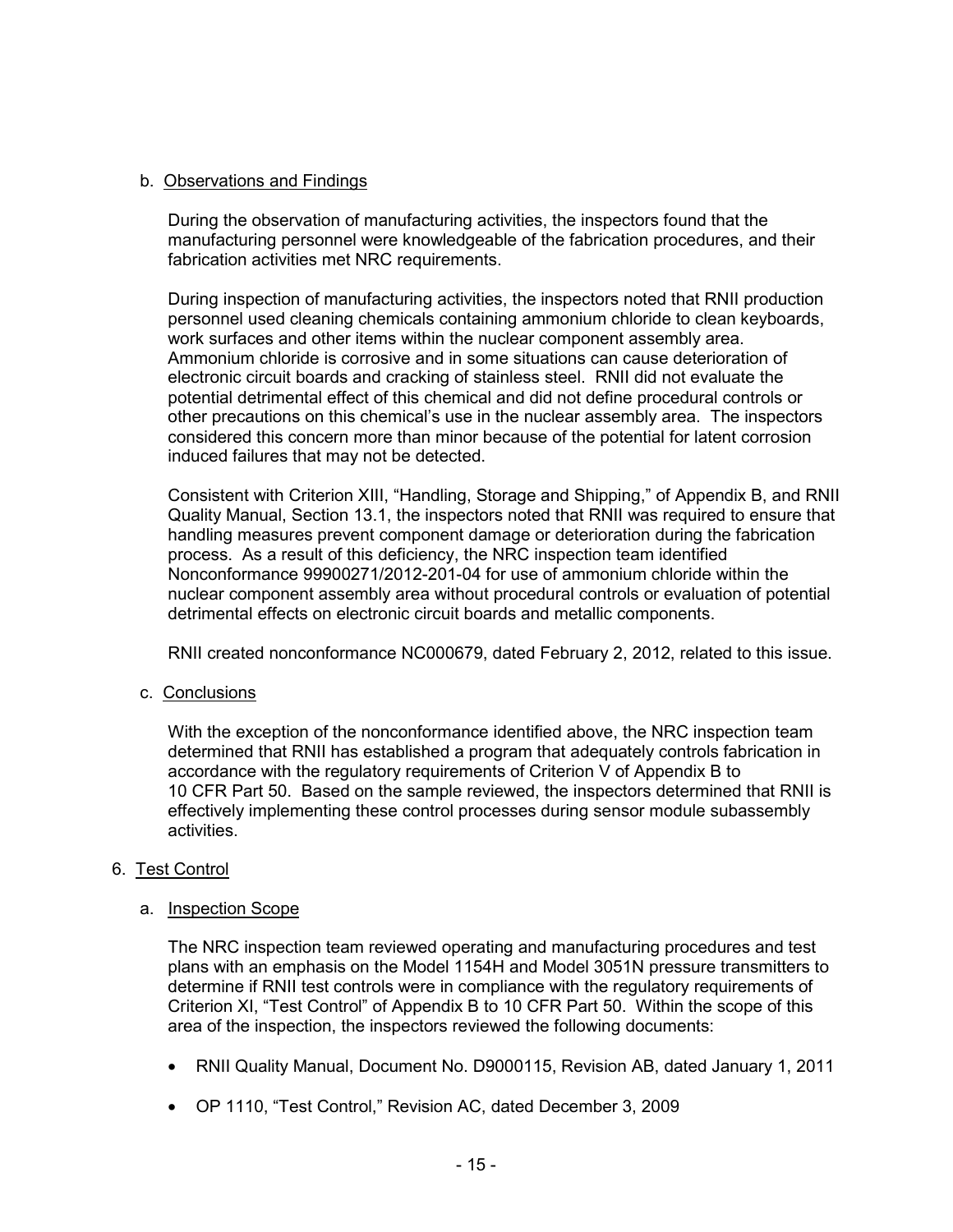# b. Observations and Findings

During the observation of manufacturing activities, the inspectors found that the manufacturing personnel were knowledgeable of the fabrication procedures, and their fabrication activities met NRC requirements.

During inspection of manufacturing activities, the inspectors noted that RNII production personnel used cleaning chemicals containing ammonium chloride to clean keyboards, work surfaces and other items within the nuclear component assembly area. Ammonium chloride is corrosive and in some situations can cause deterioration of electronic circuit boards and cracking of stainless steel. RNII did not evaluate the potential detrimental effect of this chemical and did not define procedural controls or other precautions on this chemical's use in the nuclear assembly area. The inspectors considered this concern more than minor because of the potential for latent corrosion induced failures that may not be detected.

Consistent with Criterion XIII, "Handling, Storage and Shipping," of Appendix B, and RNII Quality Manual, Section 13.1, the inspectors noted that RNII was required to ensure that handling measures prevent component damage or deterioration during the fabrication process. As a result of this deficiency, the NRC inspection team identified Nonconformance 99900271/2012-201-04 for use of ammonium chloride within the nuclear component assembly area without procedural controls or evaluation of potential detrimental effects on electronic circuit boards and metallic components.

RNII created nonconformance NC000679, dated February 2, 2012, related to this issue.

c. Conclusions

With the exception of the nonconformance identified above, the NRC inspection team determined that RNII has established a program that adequately controls fabrication in accordance with the regulatory requirements of Criterion V of Appendix B to 10 CFR Part 50. Based on the sample reviewed, the inspectors determined that RNII is effectively implementing these control processes during sensor module subassembly activities.

# 6. Test Control

#### a. Inspection Scope

The NRC inspection team reviewed operating and manufacturing procedures and test plans with an emphasis on the Model 1154H and Model 3051N pressure transmitters to determine if RNII test controls were in compliance with the regulatory requirements of Criterion XI, "Test Control" of Appendix B to 10 CFR Part 50. Within the scope of this area of the inspection, the inspectors reviewed the following documents:

- RNII Quality Manual, Document No. D9000115, Revision AB, dated January 1, 2011
- OP 1110, "Test Control," Revision AC, dated December 3, 2009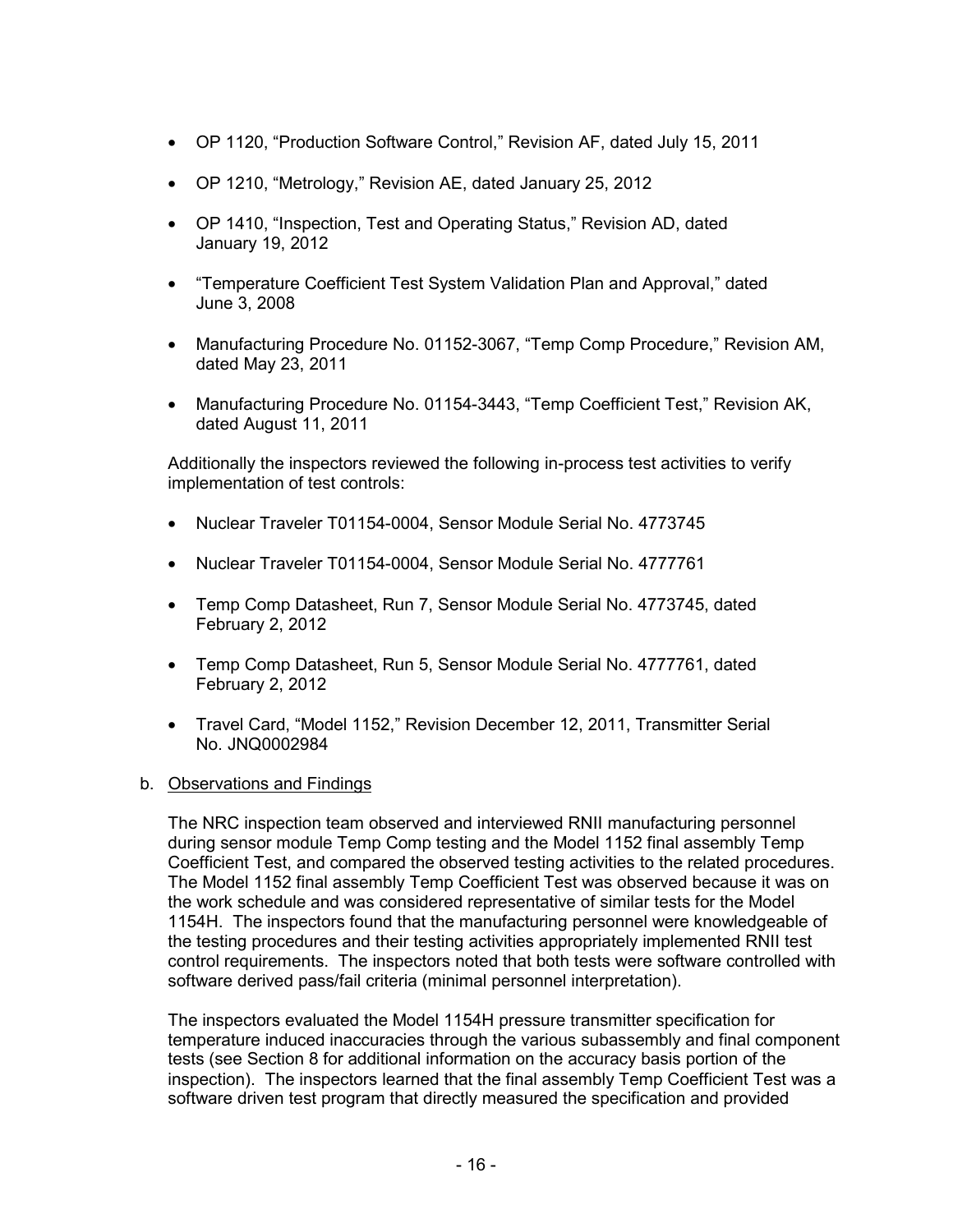- OP 1120, "Production Software Control," Revision AF, dated July 15, 2011
- OP 1210, "Metrology," Revision AE, dated January 25, 2012
- OP 1410, "Inspection, Test and Operating Status," Revision AD, dated January 19, 2012
- "Temperature Coefficient Test System Validation Plan and Approval," dated June 3, 2008
- Manufacturing Procedure No. 01152-3067, "Temp Comp Procedure," Revision AM, dated May 23, 2011
- Manufacturing Procedure No. 01154-3443, "Temp Coefficient Test," Revision AK, dated August 11, 2011

Additionally the inspectors reviewed the following in-process test activities to verify implementation of test controls:

- Nuclear Traveler T01154-0004, Sensor Module Serial No. 4773745
- Nuclear Traveler T01154-0004, Sensor Module Serial No. 4777761
- Temp Comp Datasheet, Run 7, Sensor Module Serial No. 4773745, dated February 2, 2012
- Temp Comp Datasheet, Run 5, Sensor Module Serial No. 4777761, dated February 2, 2012
- Travel Card, "Model 1152," Revision December 12, 2011, Transmitter Serial No. JNQ0002984

# b. Observations and Findings

The NRC inspection team observed and interviewed RNII manufacturing personnel during sensor module Temp Comp testing and the Model 1152 final assembly Temp Coefficient Test, and compared the observed testing activities to the related procedures. The Model 1152 final assembly Temp Coefficient Test was observed because it was on the work schedule and was considered representative of similar tests for the Model 1154H. The inspectors found that the manufacturing personnel were knowledgeable of the testing procedures and their testing activities appropriately implemented RNII test control requirements. The inspectors noted that both tests were software controlled with software derived pass/fail criteria (minimal personnel interpretation).

The inspectors evaluated the Model 1154H pressure transmitter specification for temperature induced inaccuracies through the various subassembly and final component tests (see Section 8 for additional information on the accuracy basis portion of the inspection). The inspectors learned that the final assembly Temp Coefficient Test was a software driven test program that directly measured the specification and provided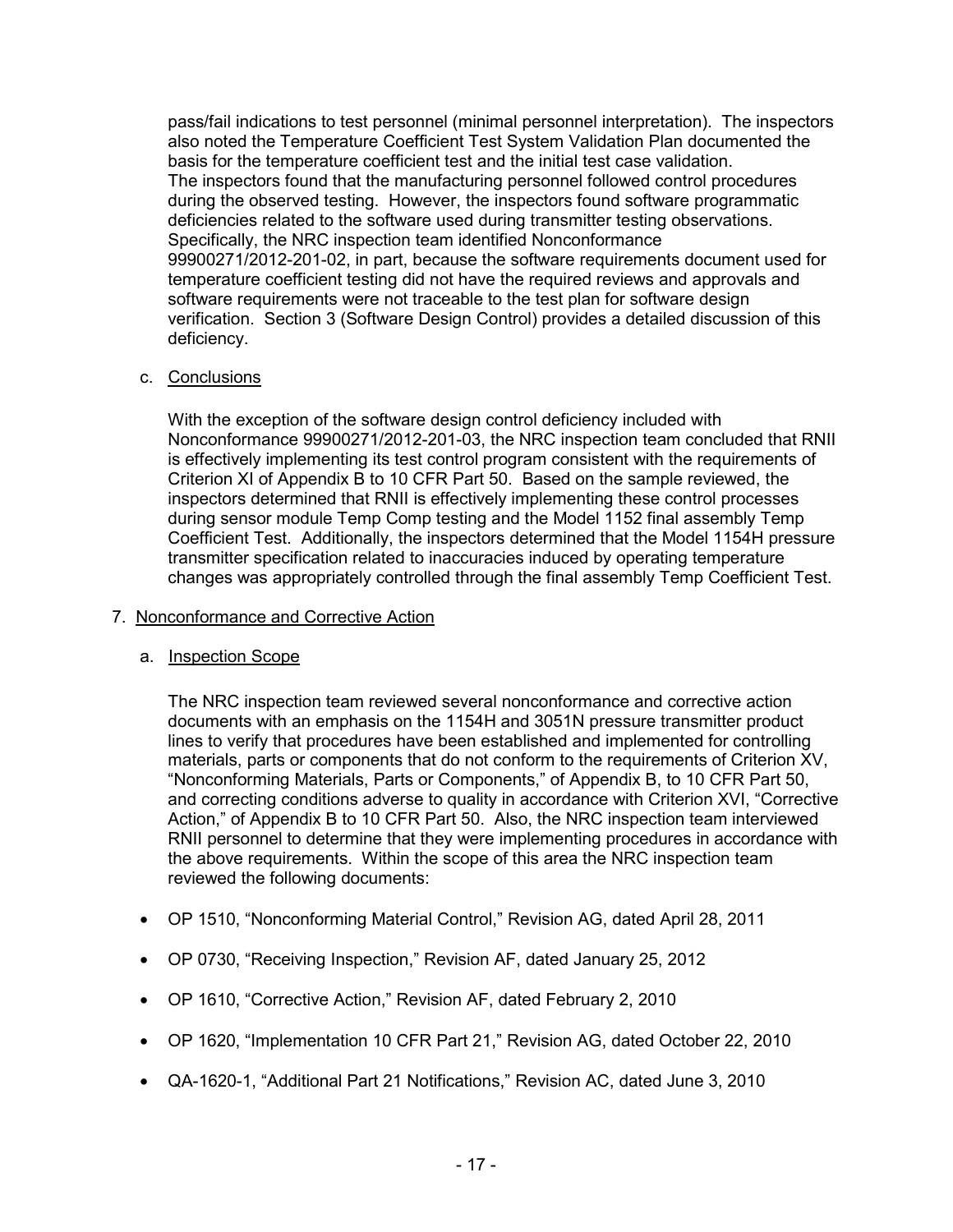pass/fail indications to test personnel (minimal personnel interpretation). The inspectors also noted the Temperature Coefficient Test System Validation Plan documented the basis for the temperature coefficient test and the initial test case validation. The inspectors found that the manufacturing personnel followed control procedures during the observed testing. However, the inspectors found software programmatic deficiencies related to the software used during transmitter testing observations. Specifically, the NRC inspection team identified Nonconformance 99900271/2012-201-02, in part, because the software requirements document used for temperature coefficient testing did not have the required reviews and approvals and software requirements were not traceable to the test plan for software design verification. Section 3 (Software Design Control) provides a detailed discussion of this deficiency.

# c. Conclusions

With the exception of the software design control deficiency included with Nonconformance 99900271/2012-201-03, the NRC inspection team concluded that RNII is effectively implementing its test control program consistent with the requirements of Criterion XI of Appendix B to 10 CFR Part 50. Based on the sample reviewed, the inspectors determined that RNII is effectively implementing these control processes during sensor module Temp Comp testing and the Model 1152 final assembly Temp Coefficient Test. Additionally, the inspectors determined that the Model 1154H pressure transmitter specification related to inaccuracies induced by operating temperature changes was appropriately controlled through the final assembly Temp Coefficient Test.

# 7. Nonconformance and Corrective Action

# a. Inspection Scope

The NRC inspection team reviewed several nonconformance and corrective action documents with an emphasis on the 1154H and 3051N pressure transmitter product lines to verify that procedures have been established and implemented for controlling materials, parts or components that do not conform to the requirements of Criterion XV, "Nonconforming Materials, Parts or Components," of Appendix B, to 10 CFR Part 50, and correcting conditions adverse to quality in accordance with Criterion XVI, "Corrective Action," of Appendix B to 10 CFR Part 50. Also, the NRC inspection team interviewed RNII personnel to determine that they were implementing procedures in accordance with the above requirements. Within the scope of this area the NRC inspection team reviewed the following documents:

- OP 1510, "Nonconforming Material Control," Revision AG, dated April 28, 2011
- OP 0730, "Receiving Inspection," Revision AF, dated January 25, 2012
- OP 1610, "Corrective Action," Revision AF, dated February 2, 2010
- OP 1620, "Implementation 10 CFR Part 21," Revision AG, dated October 22, 2010
- QA-1620-1, "Additional Part 21 Notifications," Revision AC, dated June 3, 2010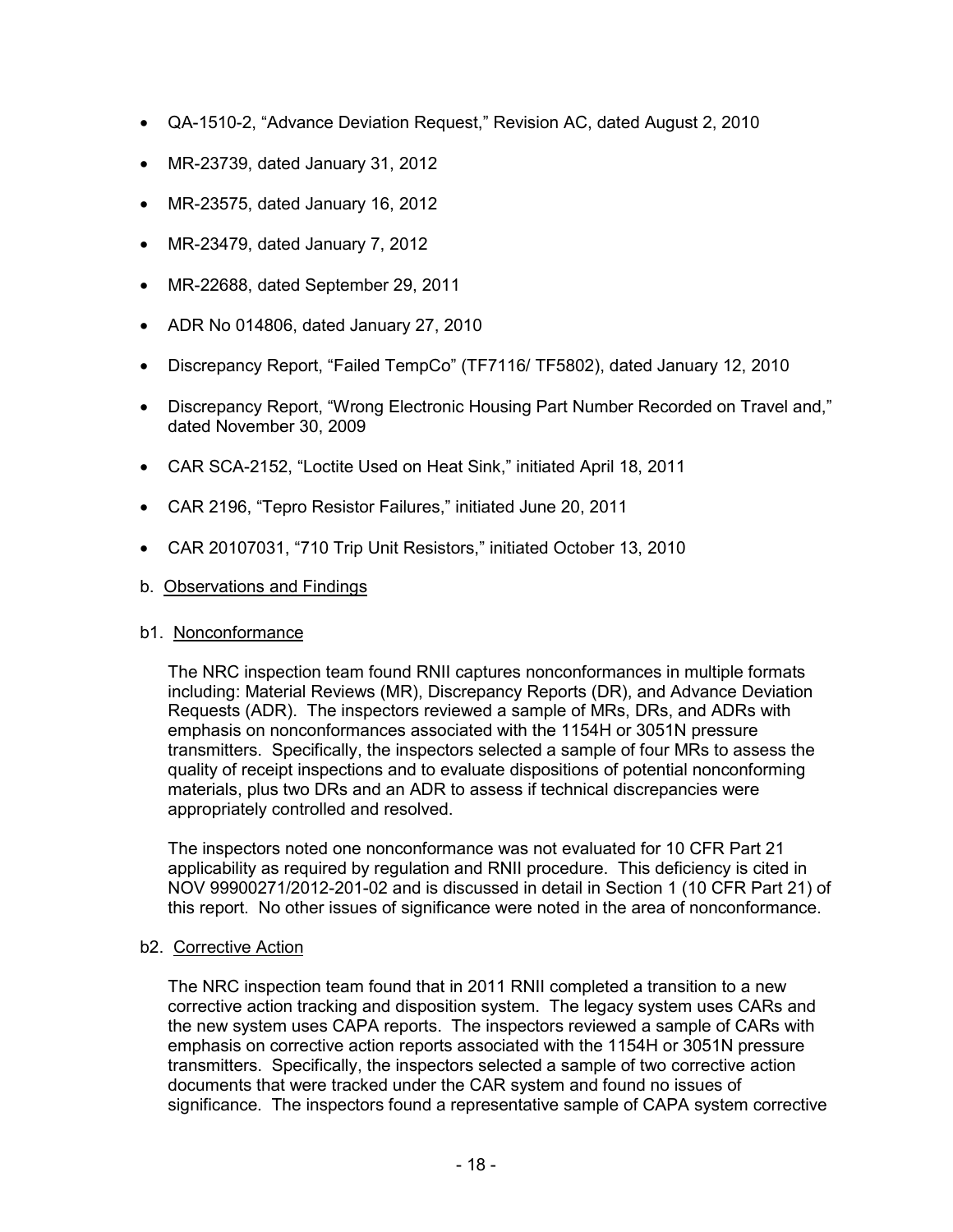- QA-1510-2, "Advance Deviation Request," Revision AC, dated August 2, 2010
- MR-23739, dated January 31, 2012
- MR-23575, dated January 16, 2012
- MR-23479, dated January 7, 2012
- MR-22688, dated September 29, 2011
- ADR No 014806, dated January 27, 2010
- Discrepancy Report, "Failed TempCo" (TF7116/ TF5802), dated January 12, 2010
- Discrepancy Report, "Wrong Electronic Housing Part Number Recorded on Travel and," dated November 30, 2009
- CAR SCA-2152, "Loctite Used on Heat Sink," initiated April 18, 2011
- CAR 2196, "Tepro Resistor Failures," initiated June 20, 2011
- CAR 20107031, "710 Trip Unit Resistors," initiated October 13, 2010
- b. Observations and Findings

# b1. Nonconformance

The NRC inspection team found RNII captures nonconformances in multiple formats including: Material Reviews (MR), Discrepancy Reports (DR), and Advance Deviation Requests (ADR). The inspectors reviewed a sample of MRs, DRs, and ADRs with emphasis on nonconformances associated with the 1154H or 3051N pressure transmitters. Specifically, the inspectors selected a sample of four MRs to assess the quality of receipt inspections and to evaluate dispositions of potential nonconforming materials, plus two DRs and an ADR to assess if technical discrepancies were appropriately controlled and resolved.

The inspectors noted one nonconformance was not evaluated for 10 CFR Part 21 applicability as required by regulation and RNII procedure. This deficiency is cited in NOV 99900271/2012-201-02 and is discussed in detail in Section 1 (10 CFR Part 21) of this report. No other issues of significance were noted in the area of nonconformance.

# b2. Corrective Action

The NRC inspection team found that in 2011 RNII completed a transition to a new corrective action tracking and disposition system. The legacy system uses CARs and the new system uses CAPA reports. The inspectors reviewed a sample of CARs with emphasis on corrective action reports associated with the 1154H or 3051N pressure transmitters. Specifically, the inspectors selected a sample of two corrective action documents that were tracked under the CAR system and found no issues of significance. The inspectors found a representative sample of CAPA system corrective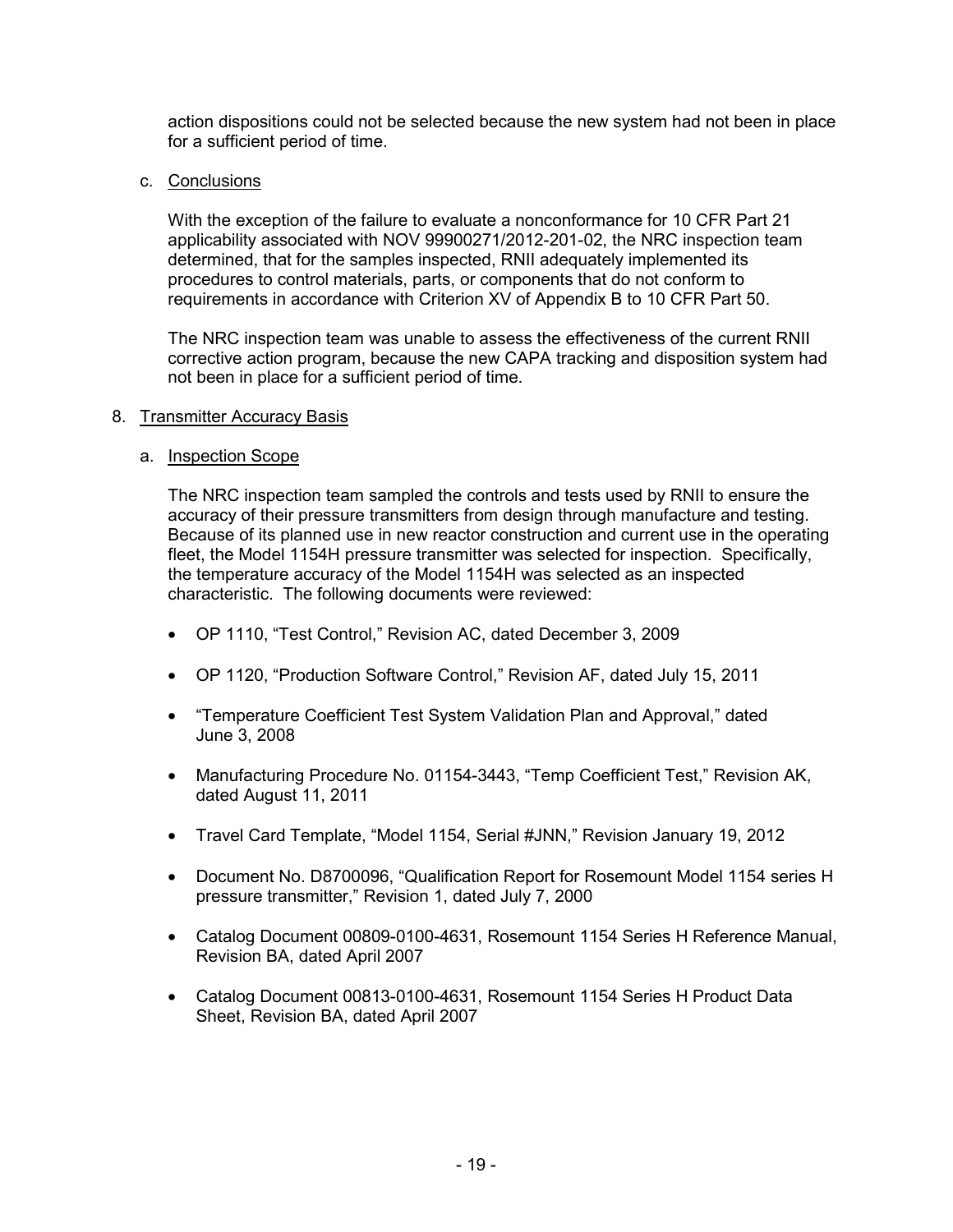action dispositions could not be selected because the new system had not been in place for a sufficient period of time.

c. Conclusions

With the exception of the failure to evaluate a nonconformance for 10 CFR Part 21 applicability associated with NOV 99900271/2012-201-02, the NRC inspection team determined, that for the samples inspected, RNII adequately implemented its procedures to control materials, parts, or components that do not conform to requirements in accordance with Criterion XV of Appendix B to 10 CFR Part 50.

The NRC inspection team was unable to assess the effectiveness of the current RNII corrective action program, because the new CAPA tracking and disposition system had not been in place for a sufficient period of time.

#### 8. Transmitter Accuracy Basis

#### a. Inspection Scope

The NRC inspection team sampled the controls and tests used by RNII to ensure the accuracy of their pressure transmitters from design through manufacture and testing. Because of its planned use in new reactor construction and current use in the operating fleet, the Model 1154H pressure transmitter was selected for inspection. Specifically, the temperature accuracy of the Model 1154H was selected as an inspected characteristic. The following documents were reviewed:

- OP 1110, "Test Control," Revision AC, dated December 3, 2009
- OP 1120, "Production Software Control," Revision AF, dated July 15, 2011
- "Temperature Coefficient Test System Validation Plan and Approval," dated June 3, 2008
- Manufacturing Procedure No. 01154-3443, "Temp Coefficient Test," Revision AK, dated August 11, 2011
- Travel Card Template, "Model 1154, Serial #JNN," Revision January 19, 2012
- Document No. D8700096, "Qualification Report for Rosemount Model 1154 series H pressure transmitter," Revision 1, dated July 7, 2000
- Catalog Document 00809-0100-4631, Rosemount 1154 Series H Reference Manual, Revision BA, dated April 2007
- Catalog Document 00813-0100-4631, Rosemount 1154 Series H Product Data Sheet, Revision BA, dated April 2007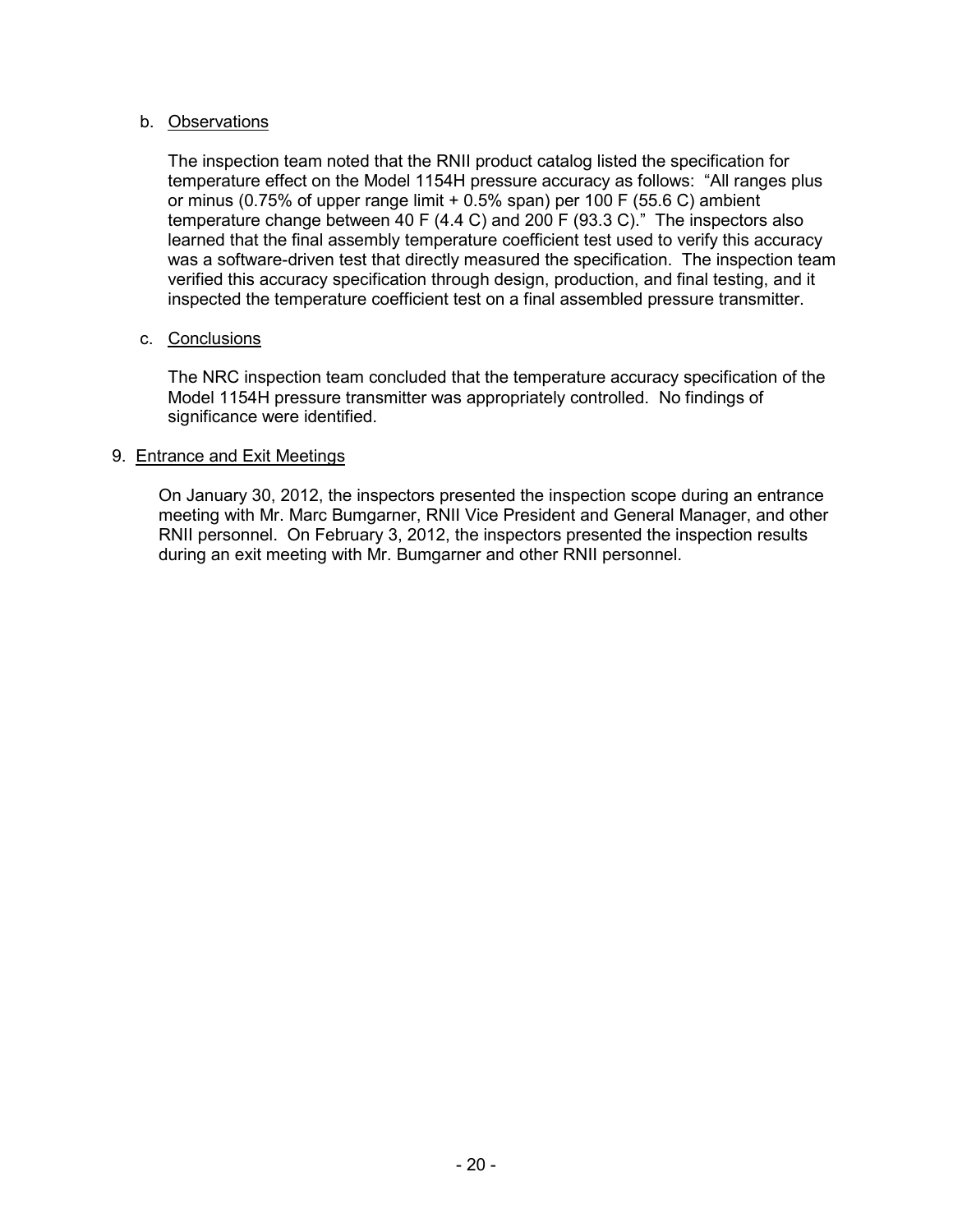# b. Observations

The inspection team noted that the RNII product catalog listed the specification for temperature effect on the Model 1154H pressure accuracy as follows: "All ranges plus or minus (0.75% of upper range limit + 0.5% span) per 100 F (55.6 C) ambient temperature change between 40 F (4.4 C) and 200 F (93.3 C)." The inspectors also learned that the final assembly temperature coefficient test used to verify this accuracy was a software-driven test that directly measured the specification. The inspection team verified this accuracy specification through design, production, and final testing, and it inspected the temperature coefficient test on a final assembled pressure transmitter.

# c. Conclusions

The NRC inspection team concluded that the temperature accuracy specification of the Model 1154H pressure transmitter was appropriately controlled. No findings of significance were identified.

# 9. Entrance and Exit Meetings

On January 30, 2012, the inspectors presented the inspection scope during an entrance meeting with Mr. Marc Bumgarner, RNII Vice President and General Manager, and other RNII personnel. On February 3, 2012, the inspectors presented the inspection results during an exit meeting with Mr. Bumgarner and other RNII personnel.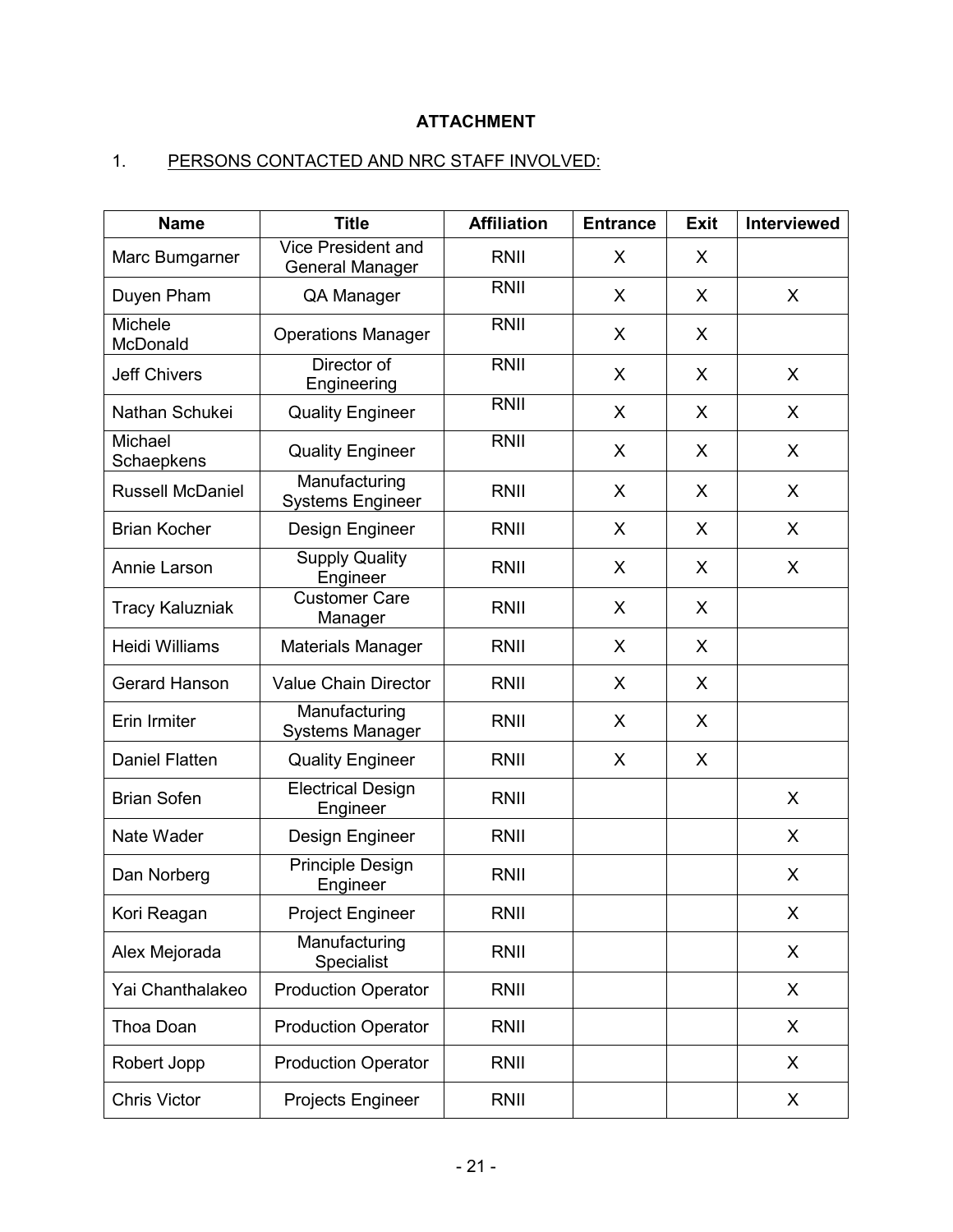# **ATTACHMENT**

# 1. PERSONS CONTACTED AND NRC STAFF INVOLVED:

| <b>Name</b>             | <b>Title</b>                                        | <b>Affiliation</b> | <b>Entrance</b> | <b>Exit</b> | <b>Interviewed</b> |
|-------------------------|-----------------------------------------------------|--------------------|-----------------|-------------|--------------------|
| Marc Bumgarner          | <b>Vice President and</b><br><b>General Manager</b> | <b>RNII</b>        | X               | X           |                    |
| Duyen Pham              | QA Manager                                          | <b>RNII</b>        | X               | X           | X.                 |
| Michele<br>McDonald     | <b>Operations Manager</b>                           | <b>RNII</b>        | X               | X           |                    |
| <b>Jeff Chivers</b>     | Director of<br>Engineering                          | <b>RNII</b>        | X               | X           | X                  |
| Nathan Schukei          | <b>Quality Engineer</b>                             | <b>RNII</b>        | X               | X           | X                  |
| Michael<br>Schaepkens   | <b>Quality Engineer</b>                             | <b>RNII</b>        | X               | X           | X                  |
| <b>Russell McDaniel</b> | Manufacturing<br><b>Systems Engineer</b>            | <b>RNII</b>        | X               | X           | X                  |
| <b>Brian Kocher</b>     | Design Engineer                                     | <b>RNII</b>        | X               | X           | X                  |
| Annie Larson            | <b>Supply Quality</b><br>Engineer                   | <b>RNII</b>        | X               | X           | X                  |
| <b>Tracy Kaluzniak</b>  | <b>Customer Care</b><br>Manager                     | <b>RNII</b>        | X               | X           |                    |
| Heidi Williams          | <b>Materials Manager</b>                            | RNII               | X               | X           |                    |
| <b>Gerard Hanson</b>    | <b>Value Chain Director</b>                         | RNII               | X               | X           |                    |
| Erin Irmiter            | Manufacturing<br><b>Systems Manager</b>             | RNII               | X               | X           |                    |
| <b>Daniel Flatten</b>   | <b>Quality Engineer</b>                             | <b>RNII</b>        | X               | X           |                    |
| <b>Brian Sofen</b>      | <b>Electrical Design</b><br>Engineer                | <b>RNII</b>        |                 |             | X                  |
| Nate Wader              | Design Engineer                                     | <b>RNII</b>        |                 |             | X                  |
| Dan Norberg             | <b>Principle Design</b><br>Engineer                 | <b>RNII</b>        |                 |             | X                  |
| Kori Reagan             | <b>Project Engineer</b>                             | <b>RNII</b>        |                 |             | X                  |
| Alex Mejorada           | Manufacturing<br>Specialist                         | <b>RNII</b>        |                 |             | X                  |
| Yai Chanthalakeo        | <b>Production Operator</b>                          | RNII               |                 |             | X                  |
| Thoa Doan               | <b>Production Operator</b>                          | <b>RNII</b>        |                 |             | X                  |
| Robert Jopp             | <b>Production Operator</b>                          | <b>RNII</b>        |                 |             | X                  |
| <b>Chris Victor</b>     | Projects Engineer                                   | <b>RNII</b>        |                 |             | X                  |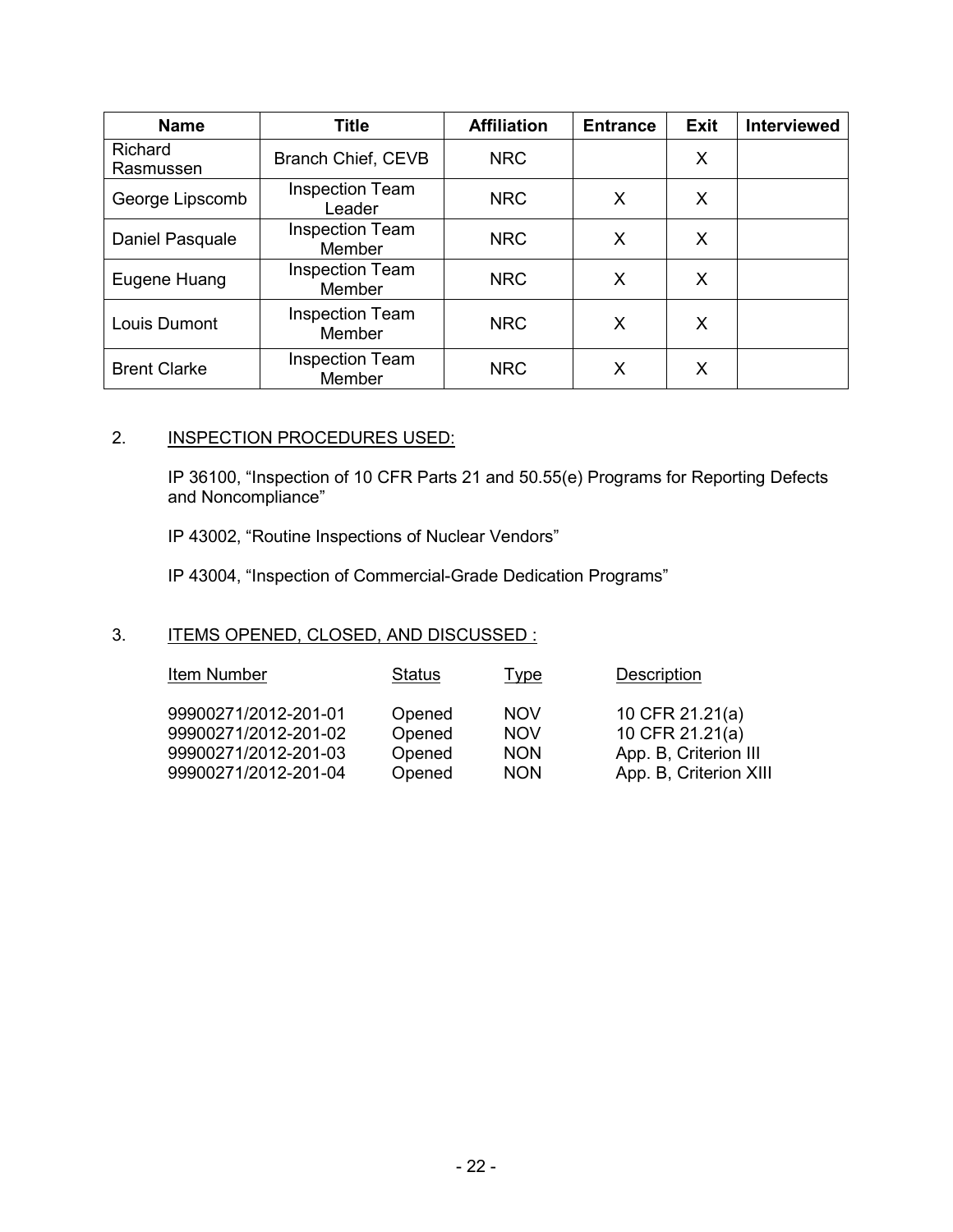| <b>Name</b>          | <b>Title</b>                            | <b>Affiliation</b> | <b>Entrance</b> | <b>Exit</b> | Interviewed |
|----------------------|-----------------------------------------|--------------------|-----------------|-------------|-------------|
| Richard<br>Rasmussen | Branch Chief, CEVB                      | <b>NRC</b>         |                 | X           |             |
| George Lipscomb      | <b>Inspection Team</b><br>Leader        | <b>NRC</b>         | X               | X           |             |
| Daniel Pasquale      | <b>Inspection Team</b><br><b>Member</b> | <b>NRC</b>         | X               | X           |             |
| Eugene Huang         | <b>Inspection Team</b><br>Member        | <b>NRC</b>         | X               | X           |             |
| Louis Dumont         | <b>Inspection Team</b><br>Member        | <b>NRC</b>         | X               | X           |             |
| <b>Brent Clarke</b>  | <b>Inspection Team</b><br>Member        | <b>NRC</b>         | х               | X           |             |

# 2. **INSPECTION PROCEDURES USED:**

IP 36100, "Inspection of 10 CFR Parts 21 and 50.55(e) Programs for Reporting Defects and Noncompliance"

IP 43002, "Routine Inspections of Nuclear Vendors"

IP 43004, "Inspection of Commercial-Grade Dedication Programs"

# 3. ITEMS OPENED, CLOSED, AND DISCUSSED :

| Item Number          | <b>Status</b> | Type       | Description            |
|----------------------|---------------|------------|------------------------|
| 99900271/2012-201-01 | Opened        | <b>NOV</b> | 10 CFR 21.21(a)        |
| 99900271/2012-201-02 | Opened        | <b>NOV</b> | 10 CFR 21.21(a)        |
| 99900271/2012-201-03 | Opened        | <b>NON</b> | App. B, Criterion III  |
| 99900271/2012-201-04 | Opened        | <b>NON</b> | App. B, Criterion XIII |